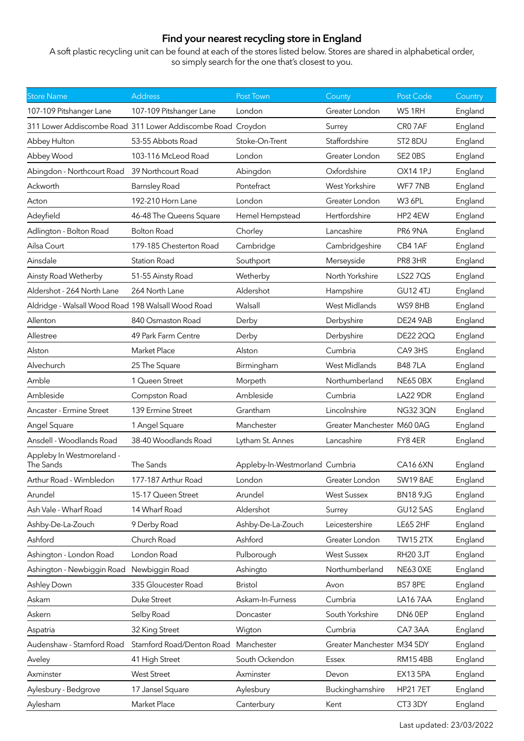## **Find your nearest recycling store in England**

A soft plastic recycling unit can be found at each of the stores listed below. Stores are shared in alphabetical order, so simply search for the one that's closest to you.

| <b>Store Name</b>                                  | <b>Address</b>                                              | Post Town                      | County                     | Post Code           | Country |
|----------------------------------------------------|-------------------------------------------------------------|--------------------------------|----------------------------|---------------------|---------|
| 107-109 Pitshanger Lane                            | 107-109 Pitshanger Lane                                     | London                         | Greater London             | W51RH               | England |
|                                                    | 311 Lower Addiscombe Road 311 Lower Addiscombe Road Croydon |                                | Surrey                     | CRO <sub>7AF</sub>  | England |
| Abbey Hulton                                       | 53-55 Abbots Road                                           | Stoke-On-Trent                 | Staffordshire              | ST <sub>2</sub> 8DU | England |
| Abbey Wood                                         | 103-116 McLeod Road                                         | London                         | Greater London             | SE2 OBS             | England |
| Abingdon - Northcourt Road                         | 39 Northcourt Road                                          | Abingdon                       | Oxfordshire                | OX14 1PJ            | England |
| Ackworth                                           | <b>Barnsley Road</b>                                        | Pontefract                     | West Yorkshire             | WF77NB              | England |
| Acton                                              | 192-210 Horn Lane                                           | London                         | Greater London             | <b>W3 6PL</b>       | England |
| Adeyfield                                          | 46-48 The Queens Square                                     | Hemel Hempstead                | Hertfordshire              | HP2 4EW             | England |
| Adlington - Bolton Road                            | <b>Bolton Road</b>                                          | Chorley                        | Lancashire                 | PR6 9NA             | England |
| Ailsa Court                                        | 179-185 Chesterton Road                                     | Cambridge                      | Cambridgeshire             | CB41AF              | England |
| Ainsdale                                           | <b>Station Road</b>                                         | Southport                      | Merseyside                 | PR8 3HR             | England |
| Ainsty Road Wetherby                               | 51-55 Ainsty Road                                           | Wetherby                       | North Yorkshire            | LS22 7QS            | England |
| Aldershot - 264 North Lane                         | 264 North Lane                                              | Aldershot                      | Hampshire                  | <b>GU12 4TJ</b>     | England |
| Aldridge - Walsall Wood Road 198 Walsall Wood Road |                                                             | Walsall                        | West Midlands              | WS98HB              | England |
| Allenton                                           | 840 Osmaston Road                                           | Derby                          | Derbyshire                 | DE24 9AB            | England |
| Allestree                                          | 49 Park Farm Centre                                         | Derby                          | Derbyshire                 | DE22 2QQ            | England |
| Alston                                             | Market Place                                                | Alston                         | Cumbria                    | CA93HS              | England |
| Alvechurch                                         | 25 The Square                                               | Birmingham                     | West Midlands              | <b>B487LA</b>       | England |
| Amble                                              | 1 Queen Street                                              | Morpeth                        | Northumberland             | <b>NE65 0BX</b>     | England |
| Ambleside                                          | Compston Road                                               | Ambleside                      | Cumbria                    | <b>LA22 9DR</b>     | England |
| Ancaster - Ermine Street                           | 139 Ermine Street                                           | Grantham                       | Lincolnshire               | <b>NG32 3QN</b>     | England |
| Angel Square                                       | 1 Angel Square                                              | Manchester                     | Greater Manchester M60 0AG |                     | England |
| Ansdell - Woodlands Road                           | 38-40 Woodlands Road                                        | Lytham St. Annes               | Lancashire                 | FY84ER              | England |
| Appleby In Westmoreland -<br>The Sands             | The Sands                                                   | Appleby-In-Westmorland Cumbria |                            | CA16 6XN            | England |
| Arthur Road - Wimbledon                            | 177-187 Arthur Road                                         | London                         | Greater London             | SW198AE             | England |
| Arundel                                            | 15-17 Queen Street                                          | Arundel                        | <b>West Sussex</b>         | <b>BN18 9JG</b>     | England |
| Ash Vale - Wharf Road                              | 14 Wharf Road                                               | Aldershot                      | Surrey                     | <b>GU12 5AS</b>     | England |
| Ashby-De-La-Zouch                                  | 9 Derby Road                                                | Ashby-De-La-Zouch              | Leicestershire             | <b>LE65 2HF</b>     | England |
| Ashford                                            | Church Road                                                 | Ashford                        | Greater London             | <b>TW15 2TX</b>     | England |
| Ashington - London Road                            | London Road                                                 | Pulborough                     | <b>West Sussex</b>         | RH203JT             | England |
| Ashington - Newbiggin Road                         | Newbiggin Road                                              | Ashingto                       | Northumberland             | <b>NE63 0XE</b>     | England |
| Ashley Down                                        | 335 Gloucester Road                                         | <b>Bristol</b>                 | Avon                       | BS78PE              | England |
| Askam                                              | Duke Street                                                 | Askam-In-Furness               | Cumbria                    | LA167AA             | England |
| Askern                                             | Selby Road                                                  | Doncaster                      | South Yorkshire            | DN6 0EP             | England |
| Aspatria                                           | 32 King Street                                              | Wigton                         | Cumbria                    | CA73AA              | England |
| Audenshaw - Stamford Road                          | Stamford Road/Denton Road                                   | Manchester                     | Greater Manchester M34 5DY |                     | England |
| Aveley                                             | 41 High Street                                              | South Ockendon                 | Essex                      | <b>RM154BB</b>      | England |
| Axminster                                          | <b>West Street</b>                                          | Axminster                      | Devon                      | EX13 5PA            | England |
| Aylesbury - Bedgrove                               | 17 Jansel Square                                            | Aylesbury                      | Buckinghamshire            | <b>HP21 7ET</b>     | England |
| Aylesham                                           | Market Place                                                | Canterbury                     | Kent                       | CT3 3DY             | England |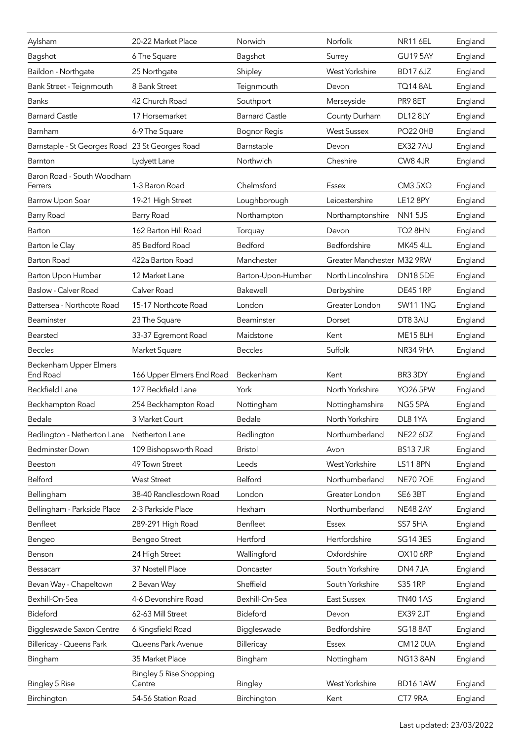| Aylsham                               | 20-22 Market Place                       | Norwich               | Norfolk                    | <b>NR11 6EL</b> | England |
|---------------------------------------|------------------------------------------|-----------------------|----------------------------|-----------------|---------|
| Bagshot                               | 6 The Square                             | Bagshot               | Surrey                     | <b>GU19 5AY</b> | England |
| Baildon - Northgate                   | 25 Northgate                             | Shipley               | West Yorkshire             | <b>BD17 6JZ</b> | England |
| Bank Street - Teignmouth              | 8 Bank Street                            | Teignmouth            | Devon                      | <b>TQ14 8AL</b> | England |
| <b>Banks</b>                          | 42 Church Road                           | Southport             | Merseyside                 | PR9 8ET         | England |
| <b>Barnard Castle</b>                 | 17 Horsemarket                           | <b>Barnard Castle</b> | County Durham              | <b>DL12 8LY</b> | England |
| Barnham                               | 6-9 The Square                           | <b>Bognor Regis</b>   | <b>West Sussex</b>         | <b>PO22 0HB</b> | England |
| Barnstaple - St Georges Road          | 23 St Georges Road                       | Barnstaple            | Devon                      | EX327AU         | England |
| Barnton                               | Lydyett Lane                             | Northwich             | Cheshire                   | CW8 4JR         | England |
| Baron Road - South Woodham<br>Ferrers | 1-3 Baron Road                           | Chelmsford            | <b>Essex</b>               | CM3 5XQ         | England |
| Barrow Upon Soar                      | 19-21 High Street                        | Loughborough          | Leicestershire             | <b>LE12 8PY</b> | England |
| Barry Road                            | Barry Road                               | Northampton           | Northamptonshire           | <b>NN15JS</b>   | England |
| Barton                                | 162 Barton Hill Road                     | Torquay               | Devon                      | <b>TQ2 8HN</b>  | England |
| Barton le Clay                        | 85 Bedford Road                          | Bedford               | Bedfordshire               | MK45 4LL        | England |
| <b>Barton Road</b>                    | 422a Barton Road                         | Manchester            | Greater Manchester M32 9RW |                 | England |
| Barton Upon Humber                    | 12 Market Lane                           | Barton-Upon-Humber    | North Lincolnshire         | <b>DN185DE</b>  | England |
| Baslow - Calver Road                  | Calver Road                              | Bakewell              | Derbyshire                 | <b>DE45 1RP</b> | England |
| Battersea - Northcote Road            | 15-17 Northcote Road                     | London                | Greater London             | <b>SW11 1NG</b> | England |
| Beaminster                            | 23 The Square                            | Beaminster            | Dorset                     | DT83AU          | England |
| Bearsted                              | 33-37 Egremont Road                      | Maidstone             | Kent                       | <b>ME15 8LH</b> | England |
| <b>Beccles</b>                        | Market Square                            | <b>Beccles</b>        | Suffolk                    | NR34 9HA        | England |
| Beckenham Upper Elmers<br>End Road    | 166 Upper Elmers End Road                | Beckenham             | Kent                       | BR3 3DY         | England |
| <b>Beckfield Lane</b>                 | 127 Beckfield Lane                       | York                  | North Yorkshire            | <b>YO26 5PW</b> | England |
| Beckhampton Road                      | 254 Beckhampton Road                     | Nottingham            | Nottinghamshire            | NG5 5PA         | England |
| Bedale                                | 3 Market Court                           | Bedale                | North Yorkshire            | DL8 1YA         | England |
| Bedlington - Netherton Lane           | Netherton Lane                           | Bedlington            | Northumberland             | <b>NE22 6DZ</b> | England |
| <b>Bedminster Down</b>                | 109 Bishopsworth Road                    | <b>Bristol</b>        | Avon                       | <b>BS137JR</b>  | England |
| Beeston                               | 49 Town Street                           | Leeds                 | West Yorkshire             | <b>LS11 8PN</b> | England |
| Belford                               | <b>West Street</b>                       | Belford               | Northumberland             | <b>NE707QE</b>  | England |
| Bellingham                            | 38-40 Randlesdown Road                   | London                | Greater London             | SE6 3BT         | England |
| Bellingham - Parkside Place           | 2-3 Parkside Place                       | Hexham                | Northumberland             | NE48 2AY        | England |
| Benfleet                              | 289-291 High Road                        | Benfleet              | <b>Essex</b>               | SS7 5HA         | England |
| Bengeo                                | <b>Bengeo Street</b>                     | Hertford              | Hertfordshire              | <b>SG14 3ES</b> | England |
| Benson                                | 24 High Street                           | Wallingford           | Oxfordshire                | OX10 6RP        | England |
| Bessacarr                             | 37 Nostell Place                         | Doncaster             | South Yorkshire            | DN47JA          | England |
| Bevan Way - Chapeltown                | 2 Bevan Way                              | Sheffield             | South Yorkshire            | S35 1RP         | England |
| Bexhill-On-Sea                        | 4-6 Devonshire Road                      | Bexhill-On-Sea        | <b>East Sussex</b>         | <b>TN401AS</b>  | England |
| Bideford                              | 62-63 Mill Street                        | Bideford              | Devon                      | EX39 2JT        | England |
| <b>Biggleswade Saxon Centre</b>       | 6 Kingsfield Road                        | Biggleswade           | Bedfordshire               | SG18 8AT        | England |
| Billericay - Queens Park              | Queens Park Avenue                       | Billericay            | <b>Essex</b>               | CM12 0UA        | England |
| Bingham                               | 35 Market Place                          | Bingham               | Nottingham                 | NG138AN         | England |
| <b>Bingley 5 Rise</b>                 | <b>Bingley 5 Rise Shopping</b><br>Centre | <b>Bingley</b>        | West Yorkshire             | <b>BD161AW</b>  | England |
| Birchington                           | 54-56 Station Road                       | Birchington           | Kent                       | CT7 9RA         | England |
|                                       |                                          |                       |                            |                 |         |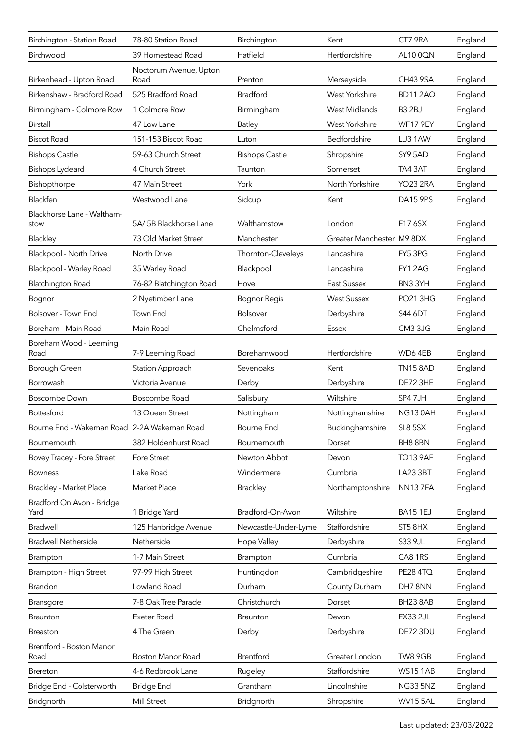| Birchington - Station Road                  | 78-80 Station Road             | Birchington           | Kent                      | CT7 9RA            | England |
|---------------------------------------------|--------------------------------|-----------------------|---------------------------|--------------------|---------|
| Birchwood                                   | 39 Homestead Road              | Hatfield              | Hertfordshire             | AL10 0QN           | England |
| Birkenhead - Upton Road                     | Noctorum Avenue, Upton<br>Road | Prenton               | Merseyside                | <b>CH43 9SA</b>    | England |
| Birkenshaw - Bradford Road                  | 525 Bradford Road              | <b>Bradford</b>       | <b>West Yorkshire</b>     | <b>BD112AQ</b>     | England |
| Birmingham - Colmore Row                    | 1 Colmore Row                  | Birmingham            | West Midlands             | B <sub>3</sub> 2BJ | England |
| <b>Birstall</b>                             | 47 Low Lane                    | <b>Batley</b>         | West Yorkshire            | <b>WF17 9EY</b>    | England |
| <b>Biscot Road</b>                          | 151-153 Biscot Road            | Luton                 | Bedfordshire              | LU3 1AW            | England |
| <b>Bishops Castle</b>                       | 59-63 Church Street            | <b>Bishops Castle</b> | Shropshire                | SY9 5AD            | England |
| <b>Bishops Lydeard</b>                      | 4 Church Street                | Taunton               | Somerset                  | TA43AT             | England |
| Bishopthorpe                                | 47 Main Street                 | York                  | North Yorkshire           | <b>YO23 2RA</b>    | England |
| Blackfen                                    | Westwood Lane                  | Sidcup                | Kent                      | DA15 9PS           | England |
| Blackhorse Lane - Waltham-<br>stow          | 5A/5B Blackhorse Lane          | Walthamstow           | London                    | E17 6SX            | England |
| Blackley                                    | 73 Old Market Street           | Manchester            | Greater Manchester M9 8DX |                    | England |
| Blackpool - North Drive                     | North Drive                    | Thornton-Cleveleys    | Lancashire                | FY5 3PG            | England |
| Blackpool - Warley Road                     | 35 Warley Road                 | Blackpool             | Lancashire                | FY12AG             | England |
| <b>Blatchington Road</b>                    | 76-82 Blatchington Road        | Hove                  | <b>East Sussex</b>        | BN3 3YH            | England |
| Bognor                                      | 2 Nyetimber Lane               | <b>Bognor Regis</b>   | <b>West Sussex</b>        | <b>PO21 3HG</b>    | England |
| Bolsover - Town End                         | Town End                       | Bolsover              | Derbyshire                | S44 6DT            | England |
| Boreham - Main Road                         | Main Road                      | Chelmsford            | Essex                     | CM3 3JG            | England |
| Boreham Wood - Leeming<br>Road              | 7-9 Leeming Road               | Borehamwood           | Hertfordshire             | WD64EB             | England |
| Borough Green                               | Station Approach               | Sevenoaks             | Kent                      | <b>TN15 8AD</b>    | England |
| Borrowash                                   | Victoria Avenue                | Derby                 | Derbyshire                | DE72 3HE           | England |
| <b>Boscombe Down</b>                        | Boscombe Road                  | Salisbury             | Wiltshire                 | SP47JH             | England |
| Bottesford                                  | 13 Queen Street                | Nottingham            | Nottinghamshire           | NG130AH            | England |
| Bourne End - Wakeman Road 2-2A Wakeman Road |                                | Bourne End            | Buckinghamshire           | SL8 5SX            | England |
| Bournemouth                                 | 382 Holdenhurst Road           | Bournemouth           | Dorset                    | BH88BN             | England |
| Bovey Tracey - Fore Street                  | <b>Fore Street</b>             | Newton Abbot          | Devon                     | <b>TQ13 9AF</b>    | England |
| Bowness                                     | Lake Road                      | Windermere            | Cumbria                   | LA23 3BT           | England |
| <b>Brackley - Market Place</b>              | Market Place                   | <b>Brackley</b>       | Northamptonshire          | <b>NN137FA</b>     | England |
| Bradford On Avon - Bridge<br>Yard           | 1 Bridge Yard                  | Bradford-On-Avon      | Wiltshire                 | <b>BA15 1EJ</b>    | England |
| <b>Bradwell</b>                             | 125 Hanbridge Avenue           | Newcastle-Under-Lyme  | Staffordshire             | ST58HX             | England |
| <b>Bradwell Netherside</b>                  | Netherside                     | Hope Valley           | Derbyshire                | S33 9JL            | England |
| <b>Brampton</b>                             | 1-7 Main Street                | Brampton              | Cumbria                   | CA81RS             | England |
| Brampton - High Street                      | 97-99 High Street              | Huntingdon            | Cambridgeshire            | <b>PE28 4TQ</b>    | England |
| Brandon                                     | Lowland Road                   | Durham                | County Durham             | DH78NN             | England |
| <b>Bransgore</b>                            | 7-8 Oak Tree Parade            | Christchurch          | Dorset                    | BH238AB            | England |
| Braunton                                    | Exeter Road                    | <b>Braunton</b>       | Devon                     | EX33 2JL           | England |
| Breaston                                    | 4 The Green                    | Derby                 | Derbyshire                | DE72 3DU           | England |
| Brentford - Boston Manor<br>Road            | Boston Manor Road              | Brentford             | Greater London            | TW8 9GB            | England |
| Brereton                                    | 4-6 Redbrook Lane              | Rugeley               | Staffordshire             | <b>WS151AB</b>     | England |
| Bridge End - Colsterworth                   | <b>Bridge End</b>              | Grantham              | Lincolnshire              | <b>NG33 5NZ</b>    | England |
| Bridgnorth                                  | Mill Street                    | Bridgnorth            | Shropshire                | <b>WV15 5AL</b>    | England |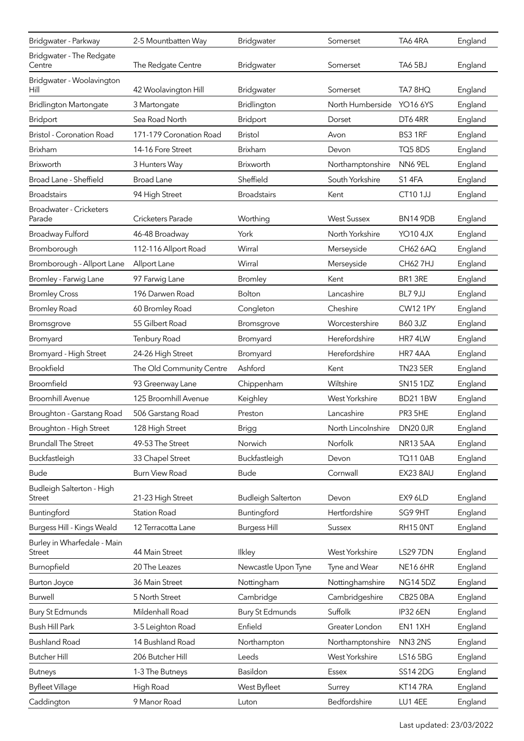| Bridgwater - Parkway                       | 2-5 Mountbatten Way      | Bridgwater                | Somerset           | TA64RA          | England |
|--------------------------------------------|--------------------------|---------------------------|--------------------|-----------------|---------|
| Bridgwater - The Redgate<br>Centre         | The Redgate Centre       | Bridgwater                | Somerset           | TA6 5BJ         | England |
| Bridgwater - Woolavington<br>Hill          | 42 Woolavington Hill     | <b>Bridgwater</b>         | Somerset           | TA78HQ          | England |
| <b>Bridlington Martongate</b>              | 3 Martongate             | Bridlington               | North Humberside   | YO16 6YS        | England |
| Bridport                                   | Sea Road North           | Bridport                  | Dorset             | DT64RR          | England |
| <b>Bristol - Coronation Road</b>           | 171-179 Coronation Road  | <b>Bristol</b>            | Avon               | BS3 1RF         | England |
| Brixham                                    | 14-16 Fore Street        | <b>Brixham</b>            | Devon              | <b>TQ5 8DS</b>  | England |
| <b>Brixworth</b>                           | 3 Hunters Way            | <b>Brixworth</b>          | Northamptonshire   | NN6 9EL         | England |
| Broad Lane - Sheffield                     | <b>Broad Lane</b>        | Sheffield                 | South Yorkshire    | <b>S14FA</b>    | England |
| <b>Broadstairs</b>                         | 94 High Street           | <b>Broadstairs</b>        | Kent               | <b>CT10 1JJ</b> | England |
| Broadwater - Cricketers<br>Parade          | Cricketers Parade        | Worthing                  | <b>West Sussex</b> | <b>BN14 9DB</b> | England |
| Broadway Fulford                           | 46-48 Broadway           | York                      | North Yorkshire    | <b>YO10 4JX</b> | England |
| Bromborough                                | 112-116 Allport Road     | Wirral                    | Merseyside         | <b>CH62 6AQ</b> | England |
| Bromborough - Allport Lane                 | Allport Lane             | Wirral                    | Merseyside         | CH62 7HJ        | England |
| Bromley - Farwig Lane                      | 97 Farwig Lane           | <b>Bromley</b>            | Kent               | BR1 3RE         | England |
| <b>Bromley Cross</b>                       | 196 Darwen Road          | <b>Bolton</b>             | Lancashire         | BL7 9JJ         | England |
| <b>Bromley Road</b>                        | 60 Bromley Road          | Congleton                 | Cheshire           | <b>CW12 1PY</b> | England |
| Bromsgrove                                 | 55 Gilbert Road          | Bromsgrove                | Worcestershire     | <b>B60 3JZ</b>  | England |
| Bromyard                                   | Tenbury Road             | Bromyard                  | Herefordshire      | HR7 4LW         | England |
| Bromyard - High Street                     | 24-26 High Street        | Bromyard                  | Herefordshire      | HR74AA          | England |
| <b>Brookfield</b>                          | The Old Community Centre | Ashford                   | Kent               | <b>TN23 5ER</b> | England |
| Broomfield                                 | 93 Greenway Lane         | Chippenham                | Wiltshire          | <b>SN151DZ</b>  | England |
| <b>Broomhill Avenue</b>                    | 125 Broomhill Avenue     | Keighley                  | West Yorkshire     | <b>BD211BW</b>  | England |
| Broughton - Garstang Road                  | 506 Garstang Road        | Preston                   | Lancashire         | PR3 5HE         | England |
| Broughton - High Street                    | 128 High Street          | <b>Brigg</b>              | North Lincolnshire | <b>DN20 0JR</b> | England |
| <b>Brundall The Street</b>                 | 49-53 The Street         | Norwich                   | Norfolk            | NR135AA         | England |
| Buckfastleigh                              | 33 Chapel Street         | Buckfastleigh             | Devon              | <b>TQ11 0AB</b> | England |
| <b>Bude</b>                                | <b>Burn View Road</b>    | <b>Bude</b>               | Cornwall           | EX23 8AU        | England |
| Budleigh Salterton - High<br><b>Street</b> | 21-23 High Street        | <b>Budleigh Salterton</b> | Devon              | EX9 6LD         | England |
| Buntingford                                | Station Road             | Buntingford               | Hertfordshire      | SG9 9HT         | England |
| Burgess Hill - Kings Weald                 | 12 Terracotta Lane       | <b>Burgess Hill</b>       | Sussex             | RH15 ONT        | England |
| Burley in Wharfedale - Main<br>Street      | 44 Main Street           | Ilkley                    | West Yorkshire     | <b>LS29 7DN</b> | England |
| Burnopfield                                | 20 The Leazes            | Newcastle Upon Tyne       | Tyne and Wear      | <b>NE16 6HR</b> | England |
| <b>Burton Joyce</b>                        | 36 Main Street           | Nottingham                | Nottinghamshire    | <b>NG145DZ</b>  | England |
| Burwell                                    | 5 North Street           | Cambridge                 | Cambridgeshire     | CB25 0BA        | England |
| <b>Bury St Edmunds</b>                     | Mildenhall Road          | <b>Bury St Edmunds</b>    | Suffolk            | IP32 6EN        | England |
| Bush Hill Park                             | 3-5 Leighton Road        | Enfield                   | Greater London     | EN11XH          | England |
| <b>Bushland Road</b>                       | 14 Bushland Road         | Northampton               | Northamptonshire   | NN32NS          | England |
| <b>Butcher Hill</b>                        | 206 Butcher Hill         | Leeds                     | West Yorkshire     | LS16 5BG        | England |
| <b>Butneys</b>                             | 1-3 The Butneys          | Basildon                  | Essex              | <b>SS14 2DG</b> | England |
| Byfleet Village                            | High Road                | West Byfleet              | Surrey             | KT147RA         | England |
| Caddington                                 | 9 Manor Road             | Luton                     | Bedfordshire       | LU1 4EE         | England |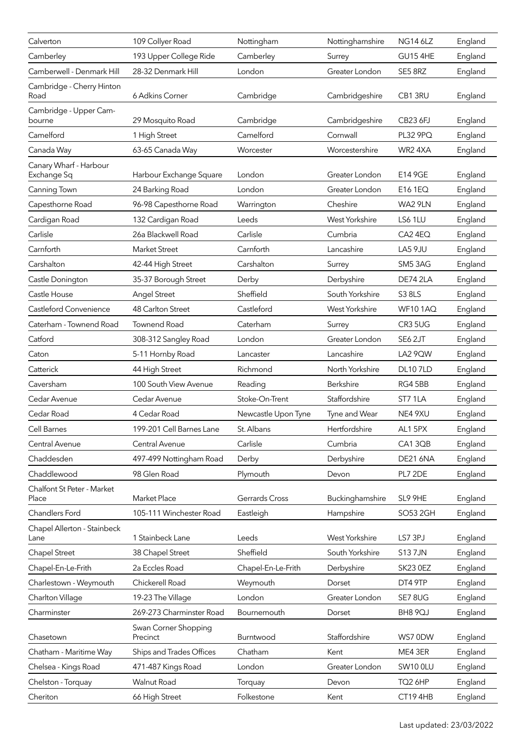| Calverton                             | 109 Collyer Road                 | Nottingham          | Nottinghamshire  | <b>NG14 6LZ</b> | England |
|---------------------------------------|----------------------------------|---------------------|------------------|-----------------|---------|
| Camberley                             | 193 Upper College Ride           | Camberley           | Surrey           | <b>GU15 4HE</b> | England |
| Camberwell - Denmark Hill             | 28-32 Denmark Hill               | London              | Greater London   | SE5 8RZ         | England |
| Cambridge - Cherry Hinton<br>Road     | 6 Adkins Corner                  | Cambridge           | Cambridgeshire   | CB1 3RU         | England |
| Cambridge - Upper Cam-<br>bourne      | 29 Mosquito Road                 | Cambridge           | Cambridgeshire   | CB23 6FJ        | England |
| Camelford                             | 1 High Street                    | Camelford           | Cornwall         | <b>PL32 9PQ</b> | England |
| Canada Way                            | 63-65 Canada Way                 | Worcester           | Worcestershire   | WR2 4XA         | England |
| Canary Wharf - Harbour<br>Exchange Sq | Harbour Exchange Square          | London              | Greater London   | E14 9GE         | England |
| Canning Town                          | 24 Barking Road                  | London              | Greater London   | E16 1EQ         | England |
| Capesthorne Road                      | 96-98 Capesthorne Road           | Warrington          | Cheshire         | WA2 9LN         | England |
| Cardigan Road                         | 132 Cardigan Road                | Leeds               | West Yorkshire   | LS6 1LU         | England |
| Carlisle                              | 26a Blackwell Road               | Carlisle            | Cumbria          | CA2 4EQ         | England |
| Carnforth                             | <b>Market Street</b>             | Carnforth           | Lancashire       | LA5 9JU         | England |
| Carshalton                            | 42-44 High Street                | Carshalton          | Surrey           | SM5 3AG         | England |
| Castle Donington                      | 35-37 Borough Street             | Derby               | Derbyshire       | DE74 2LA        | England |
| Castle House                          | Angel Street                     | Sheffield           | South Yorkshire  | <b>S3 8LS</b>   | England |
| Castleford Convenience                | 48 Carlton Street                | Castleford          | West Yorkshire   | <b>WF101AQ</b>  | England |
| Caterham - Townend Road               | <b>Townend Road</b>              | Caterham            | Surrey           | CR3 5UG         | England |
| Catford                               | 308-312 Sangley Road             | London              | Greater London   | SE6 2JT         | England |
| Caton                                 | 5-11 Hornby Road                 | Lancaster           | Lancashire       | LA2 9QW         | England |
| Catterick                             | 44 High Street                   | Richmond            | North Yorkshire  | <b>DL10 7LD</b> | England |
| Caversham                             | 100 South View Avenue            | Reading             | <b>Berkshire</b> | RG4 5BB         | England |
| Cedar Avenue                          | Cedar Avenue                     | Stoke-On-Trent      | Staffordshire    | ST71LA          | England |
| Cedar Road                            | 4 Cedar Road                     | Newcastle Upon Tyne | Tyne and Wear    | NE4 9XU         | England |
| Cell Barnes                           | 199-201 Cell Barnes Lane         | St. Albans          | Hertfordshire    | AL1 5PX         | England |
| Central Avenue                        | Central Avenue                   | Carlisle            | Cumbria          | <b>CA13QB</b>   | England |
| Chaddesden                            | 497-499 Nottingham Road          | Derby               | Derbyshire       | DE21 6NA        | England |
| Chaddlewood                           | 98 Glen Road                     | Plymouth            | Devon            | PL7 2DE         | England |
| Chalfont St Peter - Market<br>Place   | Market Place                     | Gerrards Cross      | Buckinghamshire  | SL9 9HE         | England |
| Chandlers Ford                        | 105-111 Winchester Road          | Eastleigh           | Hampshire        | SO53 2GH        | England |
| Chapel Allerton - Stainbeck<br>Lane   | 1 Stainbeck Lane                 | Leeds               | West Yorkshire   | LS7 3PJ         | England |
| <b>Chapel Street</b>                  | 38 Chapel Street                 | Sheffield           | South Yorkshire  | <b>S137JN</b>   | England |
| Chapel-En-Le-Frith                    | 2a Eccles Road                   | Chapel-En-Le-Frith  | Derbyshire       | SK23 0EZ        | England |
| Charlestown - Weymouth                | Chickerell Road                  | Weymouth            | Dorset           | DT4 9TP         | England |
| Charlton Village                      | 19-23 The Village                | London              | Greater London   | SE78UG          | England |
| Charminster                           | 269-273 Charminster Road         | Bournemouth         | Dorset           | BH8 9QJ         | England |
| Chasetown                             | Swan Corner Shopping<br>Precinct | Burntwood           | Staffordshire    | WS7 0DW         | England |
| Chatham - Maritime Way                | Ships and Trades Offices         | Chatham             | Kent             | ME4 3ER         | England |
| Chelsea - Kings Road                  | 471-487 Kings Road               | London              | Greater London   | SW10 OLU        | England |
| Chelston - Torquay                    | Walnut Road                      | Torquay             | Devon            | <b>TQ2 6HP</b>  | England |
| Cheriton                              | 66 High Street                   | Folkestone          | Kent             | CT194HB         | England |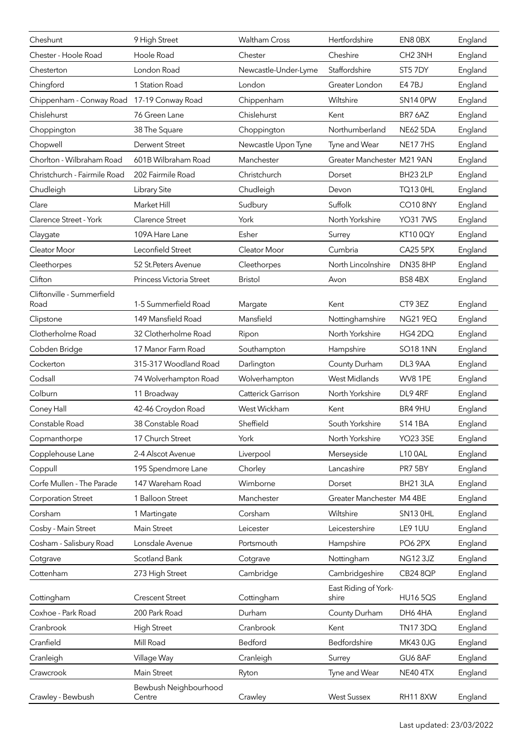| Cheshunt                     | 9 High Street                   | Waltham Cross        | Hertfordshire              | EN8 0BX             | England |
|------------------------------|---------------------------------|----------------------|----------------------------|---------------------|---------|
| Chester - Hoole Road         | Hoole Road                      | Chester              | Cheshire                   | CH <sub>2</sub> 3NH | England |
| Chesterton                   | London Road                     | Newcastle-Under-Lyme | Staffordshire              | ST5 7DY             | England |
| Chingford                    | 1 Station Road                  | London               | Greater London             | E4 7BJ              | England |
| Chippenham - Conway Road     | 17-19 Conway Road               | Chippenham           | Wiltshire                  | SN14 0PW            | England |
| Chislehurst                  | 76 Green Lane                   | Chislehurst          | Kent                       | BR7 6AZ             | England |
| Choppington                  | 38 The Square                   | Choppington          | Northumberland             | <b>NE62 5DA</b>     | England |
| Chopwell                     | <b>Derwent Street</b>           | Newcastle Upon Tyne  | Tyne and Wear              | <b>NE177HS</b>      | England |
| Chorlton - Wilbraham Road    | 601B Wilbraham Road             | Manchester           | Greater Manchester M21 9AN |                     | England |
| Christchurch - Fairmile Road | 202 Fairmile Road               | Christchurch         | Dorset                     | <b>BH23 2LP</b>     | England |
| Chudleigh                    | Library Site                    | Chudleigh            | Devon                      | <b>TQ13 0HL</b>     | England |
| Clare                        | Market Hill                     | Sudbury              | Suffolk                    | <b>CO10 8NY</b>     | England |
| Clarence Street - York       | <b>Clarence Street</b>          | York                 | North Yorkshire            | <b>YO31 7WS</b>     | England |
| Claygate                     | 109A Hare Lane                  | Esher                | Surrey                     | KT100QY             | England |
| Cleator Moor                 | Leconfield Street               | Cleator Moor         | Cumbria                    | <b>CA25 5PX</b>     | England |
| Cleethorpes                  | 52 St. Peters Avenue            | Cleethorpes          | North Lincolnshire         | <b>DN35 8HP</b>     | England |
| Clifton                      | Princess Victoria Street        | <b>Bristol</b>       | Avon                       | BS8 4BX             | England |
| Cliftonville - Summerfield   |                                 |                      |                            |                     |         |
| Road                         | 1-5 Summerfield Road            | Margate              | Kent                       | CT9 3EZ             | England |
| Clipstone                    | 149 Mansfield Road              | Mansfield            | Nottinghamshire            | <b>NG21 9EQ</b>     | England |
| Clotherholme Road            | 32 Clotherholme Road            | Ripon                | North Yorkshire            | <b>HG4 2DQ</b>      | England |
| Cobden Bridge                | 17 Manor Farm Road              | Southampton          | Hampshire                  | <b>SO18 1NN</b>     | England |
| Cockerton                    | 315-317 Woodland Road           | Darlington           | County Durham              | DL3 9AA             | England |
| Codsall                      | 74 Wolverhampton Road           | Wolverhampton        | West Midlands              | WV81PE              | England |
| Colburn                      | 11 Broadway                     | Catterick Garrison   | North Yorkshire            | DL9 4RF             | England |
| Coney Hall                   | 42-46 Croydon Road              | West Wickham         | Kent                       | BR4 9HU             | England |
| Constable Road               | 38 Constable Road               | Sheffield            | South Yorkshire            | S14 1BA             | England |
| Copmanthorpe                 | 17 Church Street                | York                 | North Yorkshire            | <b>YO23 3SE</b>     | England |
| Copplehouse Lane             | 2-4 Alscot Avenue               | Liverpool            | Merseyside                 | L10 0AL             | England |
| Coppull                      | 195 Spendmore Lane              | Chorley              | Lancashire                 | PR7 5BY             | England |
| Corfe Mullen - The Parade    | 147 Wareham Road                | Wimborne             | Dorset                     | BH213LA             | England |
| Corporation Street           | 1 Balloon Street                | Manchester           | Greater Manchester M4 4BE  |                     | England |
| Corsham                      | 1 Martingate                    | Corsham              | Wiltshire                  | SN13 OHL            | England |
| Cosby - Main Street          | Main Street                     | Leicester            | Leicestershire             | LE9 1UU             | England |
| Cosham - Salisbury Road      | Lonsdale Avenue                 | Portsmouth           | Hampshire                  | PO62PX              | England |
| Cotgrave                     | Scotland Bank                   | Cotgrave             | Nottingham                 | NG123JZ             | England |
| Cottenham                    | 273 High Street                 | Cambridge            | Cambridgeshire             | <b>CB24 8QP</b>     | England |
|                              | <b>Crescent Street</b>          |                      | East Riding of York-       | <b>HU165QS</b>      |         |
| Cottingham                   |                                 | Cottingham           | shire                      |                     | England |
| Coxhoe - Park Road           | 200 Park Road                   | Durham               | County Durham              | DH64HA              | England |
| Cranbrook                    | <b>High Street</b>              | Cranbrook            | Kent                       | <b>TN17 3DQ</b>     | England |
| Cranfield                    | Mill Road                       | Bedford              | Bedfordshire               | <b>MK430JG</b>      | England |
| Cranleigh                    | Village Way                     | Cranleigh            | Surrey                     | GU68AF              | England |
| Crawcrook                    | Main Street                     | Ryton                | Tyne and Wear              | <b>NE40 4TX</b>     | England |
| Crawley - Bewbush            | Bewbush Neighbourhood<br>Centre | Crawley              | <b>West Sussex</b>         | RH118XW             | England |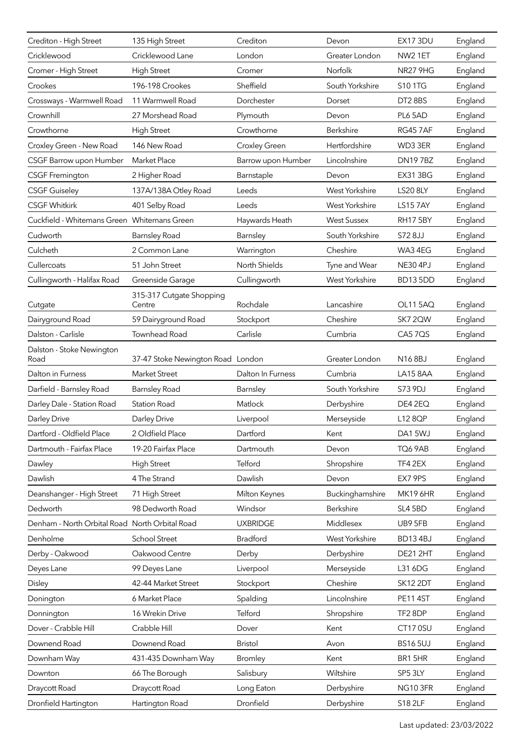| Crediton - High Street                         | 135 High Street                   | Crediton           | Devon                 | EX173DU             | England |
|------------------------------------------------|-----------------------------------|--------------------|-----------------------|---------------------|---------|
| Cricklewood                                    | Cricklewood Lane                  | London             | Greater London        | NW <sub>2</sub> 1ET | England |
| Cromer - High Street                           | <b>High Street</b>                | Cromer             | Norfolk               | <b>NR27 9HG</b>     | England |
| Crookes                                        | 196-198 Crookes                   | Sheffield          | South Yorkshire       | S10 1TG             | England |
| Crossways - Warmwell Road                      | 11 Warmwell Road                  | Dorchester         | Dorset                | DT2 8BS             | England |
| Crownhill                                      | 27 Morshead Road                  | Plymouth           | Devon                 | PL6 5AD             | England |
| Crowthorne                                     | <b>High Street</b>                | Crowthorne         | Berkshire             | <b>RG457AF</b>      | England |
| Croxley Green - New Road                       | 146 New Road                      | Croxley Green      | Hertfordshire         | WD3 3ER             | England |
| CSGF Barrow upon Humber                        | Market Place                      | Barrow upon Humber | Lincolnshire          | <b>DN197BZ</b>      | England |
| <b>CSGF Fremington</b>                         | 2 Higher Road                     | Barnstaple         | Devon                 | <b>EX31 3BG</b>     | England |
| <b>CSGF Guiseley</b>                           | 137A/138A Otley Road              | Leeds              | West Yorkshire        | <b>LS20 8LY</b>     | England |
| <b>CSGF Whitkirk</b>                           | 401 Selby Road                    | Leeds              | West Yorkshire        | <b>LS157AY</b>      | England |
| Cuckfield - Whitemans Green Whitemans Green    |                                   | Haywards Heath     | <b>West Sussex</b>    | <b>RH17 5BY</b>     | England |
| Cudworth                                       | <b>Barnsley Road</b>              | Barnsley           | South Yorkshire       | S72 8JJ             | England |
| Culcheth                                       | 2 Common Lane                     | Warrington         | Cheshire              | WA3 4EG             | England |
| Cullercoats                                    | 51 John Street                    | North Shields      | Tyne and Wear         | NE30 4PJ            | England |
| Cullingworth - Halifax Road                    | Greenside Garage                  | Cullingworth       | West Yorkshire        | <b>BD135DD</b>      | England |
|                                                | 315-317 Cutgate Shopping          |                    |                       |                     |         |
| Cutgate                                        | Centre                            | Rochdale           | Lancashire            | <b>OL11 5AQ</b>     | England |
| Dairyground Road                               | 59 Dairyground Road               | Stockport          | Cheshire              | SK7 2QW             | England |
| Dalston - Carlisle                             | <b>Townhead Road</b>              | Carlisle           | Cumbria               | <b>CA57QS</b>       | England |
| Dalston - Stoke Newington<br>Road              | 37-47 Stoke Newington Road London |                    | Greater London        | N168BJ              | England |
| Dalton in Furness                              | <b>Market Street</b>              | Dalton In Furness  | Cumbria               | LA158AA             | England |
| Darfield - Barnsley Road                       | <b>Barnsley Road</b>              | Barnsley           | South Yorkshire       | S73 9DJ             | England |
| Darley Dale - Station Road                     | <b>Station Road</b>               | Matlock            | Derbyshire            | DE4 2EQ             | England |
| Darley Drive                                   | Darley Drive                      | Liverpool          | Merseyside            | L12 8QP             | England |
| Dartford - Oldfield Place                      | 2 Oldfield Place                  | Dartford           | Kent                  | DA15WJ              | England |
| Dartmouth - Fairfax Place                      | 19-20 Fairfax Place               | Dartmouth          | Devon                 | TQ6 9AB             | England |
| Dawley                                         | <b>High Street</b>                | Telford            | Shropshire            | TF4 2EX             | England |
| Dawlish                                        | 4 The Strand                      | Dawlish            | Devon                 | EX7 9PS             | England |
| Deanshanger - High Street                      | 71 High Street                    | Milton Keynes      | Buckinghamshire       | <b>MK19 6HR</b>     | England |
| Dedworth                                       | 98 Dedworth Road                  | Windsor            | Berkshire             | SL4 5BD             | England |
| Denham - North Orbital Road North Orbital Road |                                   | <b>UXBRIDGE</b>    | Middlesex             | UB9 5FB             | England |
| Denholme                                       | <b>School Street</b>              | <b>Bradford</b>    | <b>West Yorkshire</b> | BD134BJ             | England |
| Derby - Oakwood                                | Oakwood Centre                    | Derby              | Derbyshire            | DE21 2HT            | England |
| Deyes Lane                                     | 99 Deyes Lane                     | Liverpool          | Merseyside            | L31 6DG             | England |
| Disley                                         | 42-44 Market Street               | Stockport          | Cheshire              | SK12 2DT            | England |
| Donington                                      | 6 Market Place                    | Spalding           | Lincolnshire          | <b>PE11 4ST</b>     | England |
| Donnington                                     | 16 Wrekin Drive                   | Telford            | Shropshire            | TF2 8DP             | England |
| Dover - Crabble Hill                           | Crabble Hill                      | Dover              | Kent                  | CT170SU             | England |
| Downend Road                                   | Downend Road                      | <b>Bristol</b>     | Avon                  | <b>BS165UJ</b>      | England |
| Downham Way                                    | 431-435 Downham Way               | <b>Bromley</b>     | Kent                  | BR1 5HR             | England |
| Downton                                        | 66 The Borough                    | Salisbury          | Wiltshire             | SP5 3LY             | England |
| Draycott Road                                  | Draycott Road                     | Long Eaton         | Derbyshire            | <b>NG10 3FR</b>     | England |
| Dronfield Hartington                           | Hartington Road                   | Dronfield          | Derbyshire            | S18 2LF             | England |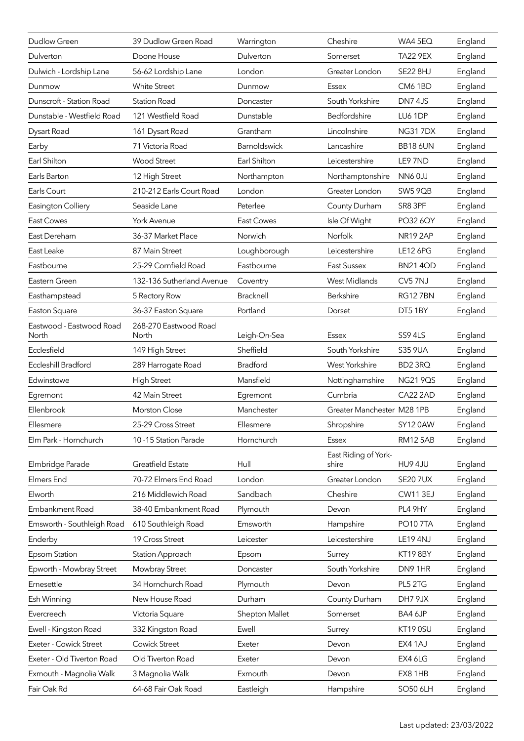| Dudlow Green                      | 39 Dudlow Green Road           | Warrington       | Cheshire                      | WA4 5EQ         | England |
|-----------------------------------|--------------------------------|------------------|-------------------------------|-----------------|---------|
| Dulverton                         | Doone House                    | Dulverton        | Somerset                      | <b>TA22 9EX</b> | England |
| Dulwich - Lordship Lane           | 56-62 Lordship Lane            | London           | Greater London                | <b>SE22 8HJ</b> | England |
| Dunmow                            | <b>White Street</b>            | Dunmow           | Essex                         | CM6 1BD         | England |
| Dunscroft - Station Road          | <b>Station Road</b>            | Doncaster        | South Yorkshire               | DN7 4JS         | England |
| Dunstable - Westfield Road        | 121 Westfield Road             | Dunstable        | Bedfordshire                  | LU6 1DP         | England |
| Dysart Road                       | 161 Dysart Road                | Grantham         | Lincolnshire                  | <b>NG317DX</b>  | England |
| Earby                             | 71 Victoria Road               | Barnoldswick     | Lancashire                    | <b>BB18 6UN</b> | England |
| Earl Shilton                      | <b>Wood Street</b>             | Earl Shilton     | Leicestershire                | LE97ND          | England |
| Earls Barton                      | 12 High Street                 | Northampton      | Northamptonshire              | <b>NN60JJ</b>   | England |
| Earls Court                       | 210-212 Earls Court Road       | London           | Greater London                | <b>SW5 9QB</b>  | England |
| Easington Colliery                | Seaside Lane                   | Peterlee         | County Durham                 | SR8 3PF         | England |
| East Cowes                        | York Avenue                    | East Cowes       | Isle Of Wight                 | PO32 6QY        | England |
| East Dereham                      | 36-37 Market Place             | Norwich          | Norfolk                       | <b>NR19 2AP</b> | England |
| East Leake                        | 87 Main Street                 | Loughborough     | Leicestershire                | LE12 6PG        | England |
| Eastbourne                        | 25-29 Cornfield Road           | Eastbourne       | East Sussex                   | <b>BN21 4QD</b> | England |
| Eastern Green                     | 132-136 Sutherland Avenue      | Coventry         | West Midlands                 | CV57NJ          | England |
| Easthampstead                     | 5 Rectory Row                  | <b>Bracknell</b> | Berkshire                     | <b>RG127BN</b>  | England |
| Easton Square                     | 36-37 Easton Square            | Portland         | Dorset                        | DT51BY          | England |
| Eastwood - Eastwood Road<br>North | 268-270 Eastwood Road<br>North | Leigh-On-Sea     | Essex                         | SS9 4LS         | England |
| Ecclesfield                       | 149 High Street                | Sheffield        | South Yorkshire               | <b>S35 9UA</b>  | England |
| Eccleshill Bradford               | 289 Harrogate Road             | <b>Bradford</b>  | West Yorkshire                | BD2 3RQ         | England |
| Edwinstowe                        | <b>High Street</b>             | Mansfield        | Nottinghamshire               | <b>NG21 9QS</b> | England |
| Egremont                          | 42 Main Street                 | Egremont         | Cumbria                       | CA22 2AD        | England |
| Ellenbrook                        | Morston Close                  | Manchester       | Greater Manchester M28 1PB    |                 | England |
| Ellesmere                         | 25-29 Cross Street             | Ellesmere        | Shropshire                    | SY12 0AW        | England |
| Elm Park - Hornchurch             | 10 -15 Station Parade          | Hornchurch       | Essex                         | <b>RM12 5AB</b> | England |
| Elmbridge Parade                  | <b>Greatfield Estate</b>       | Hull             | East Riding of York-<br>shire | HU9 4JU         | England |
| Elmers End                        | 70-72 Elmers End Road          | London           | Greater London                | <b>SE20 7UX</b> | England |
| Elworth                           | 216 Middlewich Road            | Sandbach         | Cheshire                      | <b>CW113EJ</b>  | England |
| Embankment Road                   | 38-40 Embankment Road          | Plymouth         | Devon                         | PL4 9HY         | England |
| Emsworth - Southleigh Road        | 610 Southleigh Road            | Emsworth         | Hampshire                     | <b>PO107TA</b>  | England |
| Enderby                           | 19 Cross Street                | Leicester        | Leicestershire                | LE19 4NJ        | England |
| <b>Epsom Station</b>              | Station Approach               | Epsom            | Surrey                        | KT198BY         | England |
| Epworth - Mowbray Street          | Mowbray Street                 | Doncaster        | South Yorkshire               | DN9 1HR         | England |
| Ernesettle                        | 34 Hornchurch Road             | Plymouth         | Devon                         | PL5 2TG         | England |
| Esh Winning                       | New House Road                 | Durham           | County Durham                 | DH7 9JX         | England |
| Evercreech                        | Victoria Square                | Shepton Mallet   | Somerset                      | BA4 6JP         | England |
| Ewell - Kingston Road             | 332 Kingston Road              | Ewell            | Surrey                        | KT190SU         | England |
| Exeter - Cowick Street            | <b>Cowick Street</b>           | Exeter           | Devon                         | EX41AJ          | England |
| Exeter - Old Tiverton Road        | Old Tiverton Road              | Exeter           | Devon                         | EX4 6LG         | England |
| Exmouth - Magnolia Walk           | 3 Magnolia Walk                | Exmouth          | Devon                         | EX81HB          | England |
| Fair Oak Rd                       | 64-68 Fair Oak Road            | Eastleigh        | Hampshire                     | SO50 6LH        | England |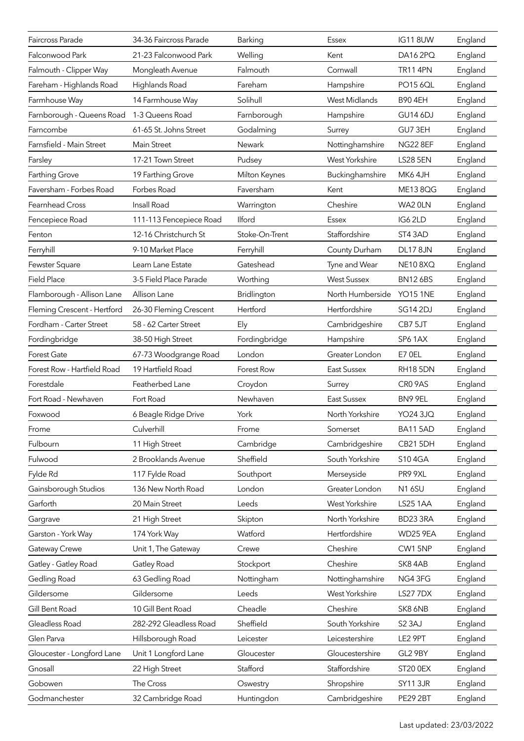| Faircross Parade            | 34-36 Faircross Parade  | Barking        | Essex              | <b>IG11 8UW</b>    | England |
|-----------------------------|-------------------------|----------------|--------------------|--------------------|---------|
| Falconwood Park             | 21-23 Falconwood Park   | Welling        | Kent               | DA16 2PQ           | England |
| Falmouth - Clipper Way      | Mongleath Avenue        | Falmouth       | Cornwall           | <b>TR11 4PN</b>    | England |
| Fareham - Highlands Road    | Highlands Road          | Fareham        | Hampshire          | PO15 6QL           | England |
| Farmhouse Way               | 14 Farmhouse Way        | Solihull       | West Midlands      | <b>B90 4EH</b>     | England |
| Farnborough - Queens Road   | 1-3 Queens Road         | Farnborough    | Hampshire          | <b>GU14 6DJ</b>    | England |
| Farncombe                   | 61-65 St. Johns Street  | Godalming      | Surrey             | GU7 3EH            | England |
| Farnsfield - Main Street    | Main Street             | Newark         | Nottinghamshire    | <b>NG22 8EF</b>    | England |
| Farsley                     | 17-21 Town Street       | Pudsey         | West Yorkshire     | <b>LS28 5EN</b>    | England |
| <b>Farthing Grove</b>       | 19 Farthing Grove       | Milton Keynes  | Buckinghamshire    | MK6 4JH            | England |
| Faversham - Forbes Road     | Forbes Road             | Faversham      | Kent               | ME138QG            | England |
| Fearnhead Cross             | Insall Road             | Warrington     | Cheshire           | WA2 0LN            | England |
| Fencepiece Road             | 111-113 Fencepiece Road | <b>Ilford</b>  | Essex              | IG6 2LD            | England |
| Fenton                      | 12-16 Christchurch St   | Stoke-On-Trent | Staffordshire      | ST4 3AD            | England |
| Ferryhill                   | 9-10 Market Place       | Ferryhill      | County Durham      | <b>DL17 8JN</b>    | England |
| Fewster Square              | Leam Lane Estate        | Gateshead      | Tyne and Wear      | <b>NE10 8XQ</b>    | England |
| <b>Field Place</b>          | 3-5 Field Place Parade  | Worthing       | <b>West Sussex</b> | <b>BN12 6BS</b>    | England |
| Flamborough - Allison Lane  | Allison Lane            | Bridlington    | North Humberside   | <b>YO15 1NE</b>    | England |
| Fleming Crescent - Hertford | 26-30 Fleming Crescent  | Hertford       | Hertfordshire      | <b>SG14 2DJ</b>    | England |
| Fordham - Carter Street     | 58 - 62 Carter Street   | Ely            | Cambridgeshire     | CB7 5JT            | England |
| Fordingbridge               | 38-50 High Street       | Fordingbridge  | Hampshire          | SP61AX             | England |
| <b>Forest Gate</b>          | 67-73 Woodgrange Road   | London         | Greater London     | E7 OEL             | England |
| Forest Row - Hartfield Road | 19 Hartfield Road       | Forest Row     | East Sussex        | RH18 5DN           | England |
| Forestdale                  | Featherbed Lane         | Croydon        | Surrey             | CRO <sub>9AS</sub> | England |
| Fort Road - Newhaven        | Fort Road               | Newhaven       | East Sussex        | BN9 9EL            | England |
| Foxwood                     | 6 Beagle Ridge Drive    | York           | North Yorkshire    | YO24 3JQ           | England |
| Frome                       | Culverhill              | Frome          | Somerset           | <b>BA11 5AD</b>    | England |
| Fulbourn                    | 11 High Street          | Cambridge      | Cambridgeshire     | CB21 5DH           | England |
| Fulwood                     | 2 Brooklands Avenue     | Sheffield      | South Yorkshire    | S104GA             | England |
| Fylde Rd                    | 117 Fylde Road          | Southport      | Merseyside         | PR9 9XL            | England |
| Gainsborough Studios        | 136 New North Road      | London         | Greater London     | <b>N16SU</b>       | England |
| Garforth                    | 20 Main Street          | Leeds          | West Yorkshire     | <b>LS25 1AA</b>    | England |
| Gargrave                    | 21 High Street          | Skipton        | North Yorkshire    | BD23 3RA           | England |
| Garston - York Way          | 174 York Way            | Watford        | Hertfordshire      | <b>WD25 9EA</b>    | England |
| Gateway Crewe               | Unit 1, The Gateway     | Crewe          | Cheshire           | CW1 5NP            | England |
| Gatley - Gatley Road        | Gatley Road             | Stockport      | Cheshire           | SK84AB             | England |
| Gedling Road                | 63 Gedling Road         | Nottingham     | Nottinghamshire    | NG43FG             | England |
| Gildersome                  | Gildersome              | Leeds          | West Yorkshire     | <b>LS277DX</b>     | England |
| Gill Bent Road              | 10 Gill Bent Road       | Cheadle        | Cheshire           | SK8 6NB            | England |
| Gleadless Road              | 282-292 Gleadless Road  | Sheffield      | South Yorkshire    | S2 3AJ             | England |
| Glen Parva                  | Hillsborough Road       | Leicester      | Leicestershire     | LE2 9PT            | England |
| Gloucester - Longford Lane  | Unit 1 Longford Lane    | Gloucester     | Gloucestershire    | GL2 9BY            | England |
| Gnosall                     | 22 High Street          | Stafford       | Staffordshire      | ST20 0EX           | England |
| Gobowen                     | The Cross               | Oswestry       | Shropshire         | SY113JR            | England |
| Godmanchester               | 32 Cambridge Road       | Huntingdon     | Cambridgeshire     | <b>PE29 2BT</b>    | England |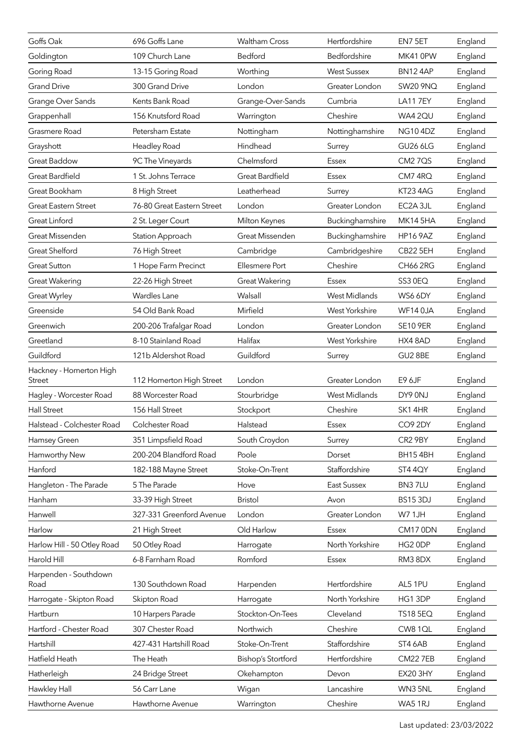| Goffs Oak                                | 696 Goffs Lane             | <b>Waltham Cross</b>      | Hertfordshire      | EN7 5ET             | England |
|------------------------------------------|----------------------------|---------------------------|--------------------|---------------------|---------|
| Goldington                               | 109 Church Lane            | Bedford                   | Bedfordshire       | MK41 0PW            | England |
| Goring Road                              | 13-15 Goring Road          | Worthing                  | <b>West Sussex</b> | BN124AP             | England |
| <b>Grand Drive</b>                       | 300 Grand Drive            | London                    | Greater London     | <b>SW20 9NQ</b>     | England |
| Grange Over Sands                        | Kents Bank Road            | Grange-Over-Sands         | Cumbria            | <b>LA11 7EY</b>     | England |
| Grappenhall                              | 156 Knutsford Road         | Warrington                | Cheshire           | <b>WA4 2QU</b>      | England |
| Grasmere Road                            | Petersham Estate           | Nottingham                | Nottinghamshire    | <b>NG10 4DZ</b>     | England |
| Grayshott                                | <b>Headley Road</b>        | Hindhead                  | Surrey             | <b>GU26 6LG</b>     | England |
| <b>Great Baddow</b>                      | 9C The Vineyards           | Chelmsford                | Essex              | <b>CM27QS</b>       | England |
| <b>Great Bardfield</b>                   | 1 St. Johns Terrace        | <b>Great Bardfield</b>    | Essex              | CM7 4RQ             | England |
| Great Bookham                            | 8 High Street              | Leatherhead               | Surrey             | KT23 4AG            | England |
| <b>Great Eastern Street</b>              | 76-80 Great Eastern Street | London                    | Greater London     | EC2A 3JL            | England |
| Great Linford                            | 2 St. Leger Court          | Milton Keynes             | Buckinghamshire    | <b>MK14 5HA</b>     | England |
| Great Missenden                          | Station Approach           | Great Missenden           | Buckinghamshire    | <b>HP16 9AZ</b>     | England |
| <b>Great Shelford</b>                    | 76 High Street             | Cambridge                 | Cambridgeshire     | CB22 5EH            | England |
| <b>Great Sutton</b>                      | 1 Hope Farm Precinct       | Ellesmere Port            | Cheshire           | <b>CH66 2RG</b>     | England |
| Great Wakering                           | 22-26 High Street          | <b>Great Wakering</b>     | Essex              | SS3 0EQ             | England |
| Great Wyrley                             | Wardles Lane               | Walsall                   | West Midlands      | WS6 6DY             | England |
| Greenside                                | 54 Old Bank Road           | Mirfield                  | West Yorkshire     | WF14 0JA            | England |
| Greenwich                                | 200-206 Trafalgar Road     | London                    | Greater London     | <b>SE10 9ER</b>     | England |
| Greetland                                | 8-10 Stainland Road        | Halifax                   | West Yorkshire     | HX4 8AD             | England |
| Guildford                                | 121b Aldershot Road        | Guildford                 | Surrey             | GU2 8BE             | England |
| Hackney - Homerton High<br><b>Street</b> | 112 Homerton High Street   | London                    | Greater London     | E9 6JF              | England |
| Hagley - Worcester Road                  | 88 Worcester Road          | Stourbridge               | West Midlands      | DY9 0NJ             | England |
| <b>Hall Street</b>                       | 156 Hall Street            | Stockport                 | Cheshire           | SK14HR              | England |
| Halstead - Colchester Road               | Colchester Road            | Halstead                  | Essex              | CO <sub>9</sub> 2DY | England |
| Hamsey Green                             | 351 Limpsfield Road        | South Croydon             | Surrey             | CR2 9BY             | England |
| Hamworthy New                            | 200-204 Blandford Road     | Poole                     | Dorset             | BH154BH             | England |
| Hanford                                  | 182-188 Mayne Street       | Stoke-On-Trent            | Staffordshire      | <b>ST4 4QY</b>      | England |
| Hangleton - The Parade                   | 5 The Parade               | Hove                      | <b>East Sussex</b> | BN37LU              | England |
| Hanham                                   | 33-39 High Street          | <b>Bristol</b>            | Avon               | <b>BS15 3DJ</b>     | England |
| Hanwell                                  | 327-331 Greenford Avenue   | London                    | Greater London     | W71JH               | England |
| Harlow                                   | 21 High Street             | Old Harlow                | Essex              | CM17 0DN            | England |
| Harlow Hill - 50 Otley Road              | 50 Otley Road              | Harrogate                 | North Yorkshire    | HG2 0DP             | England |
| Harold Hill                              | 6-8 Farnham Road           | Romford                   | Essex              | RM3 8DX             | England |
| Harpenden - Southdown<br>Road            | 130 Southdown Road         | Harpenden                 | Hertfordshire      | AL5 1PU             | England |
| Harrogate - Skipton Road                 | Skipton Road               | Harrogate                 | North Yorkshire    | HG1 3DP             | England |
| Hartburn                                 | 10 Harpers Parade          | Stockton-On-Tees          | Cleveland          | <b>TS18 5EQ</b>     | England |
| Hartford - Chester Road                  | 307 Chester Road           | Northwich                 | Cheshire           | CW8 1QL             | England |
| Hartshill                                | 427-431 Hartshill Road     | Stoke-On-Trent            | Staffordshire      | ST4 6AB             | England |
| Hatfield Heath                           | The Heath                  | <b>Bishop's Stortford</b> | Hertfordshire      | <b>CM22 7EB</b>     | England |
| Hatherleigh                              | 24 Bridge Street           | Okehampton                | Devon              | EX203HY             | England |
| Hawkley Hall                             | 56 Carr Lane               | Wigan                     | Lancashire         | WN35NL              | England |
| Hawthorne Avenue                         | Hawthorne Avenue           | Warrington                | Cheshire           | WA51RJ              | England |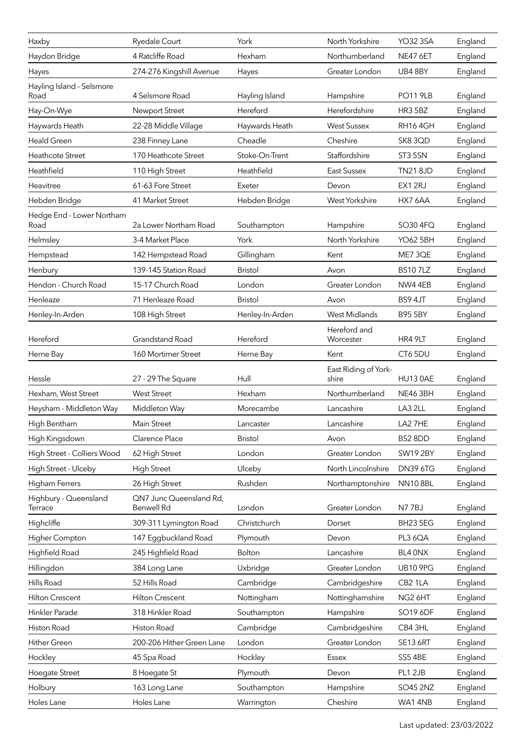| Haxby                             | Ryedale Court                                | York            | North Yorkshire               | <b>YO32 3SA</b>     | England |
|-----------------------------------|----------------------------------------------|-----------------|-------------------------------|---------------------|---------|
| Haydon Bridge                     | 4 Ratcliffe Road                             | Hexham          | Northumberland                | NE47 6ET            | England |
| Hayes                             | 274-276 Kingshill Avenue                     | Hayes           | Greater London                | UB4 8BY             | England |
| Hayling Island - Selsmore         |                                              |                 |                               |                     |         |
| Road                              | 4 Selsmore Road                              | Hayling Island  | Hampshire                     | <b>PO11 9LB</b>     | England |
| Hay-On-Wye                        | Newport Street                               | Hereford        | Herefordshire                 | <b>HR3 5BZ</b>      | England |
| Haywards Heath                    | 22-28 Middle Village                         | Haywards Heath  | <b>West Sussex</b>            | RH164GH             | England |
| <b>Heald Green</b>                | 238 Finney Lane                              | Cheadle         | Cheshire                      | SK8 3QD             | England |
| Heathcote Street                  | 170 Heathcote Street                         | Stoke-On-Trent  | Staffordshire                 | ST3 5SN             | England |
| Heathfield                        | 110 High Street                              | Heathfield      | <b>East Sussex</b>            | <b>TN21 8JD</b>     | England |
| Heavitree                         | 61-63 Fore Street                            | Exeter          | Devon                         | EX12RJ              | England |
| Hebden Bridge                     | 41 Market Street                             | Hebden Bridge   | West Yorkshire                | HX7 6AA             | England |
| Hedge End - Lower Northam<br>Road | 2a Lower Northam Road                        | Southampton     | Hampshire                     | SO30 4FQ            | England |
| Helmsley                          | 3-4 Market Place                             | York            | North Yorkshire               | <b>YO62 5BH</b>     | England |
| Hempstead                         | 142 Hempstead Road                           | Gillingham      | Kent                          | ME7 3QE             | England |
| Henbury                           | 139-145 Station Road                         | <b>Bristol</b>  | Avon                          | <b>BS107LZ</b>      | England |
| Hendon - Church Road              | 15-17 Church Road                            | London          | Greater London                | NW4 4EB             | England |
| Henleaze                          | 71 Henleaze Road                             | <b>Bristol</b>  | Avon                          | BS9 4JT             | England |
| Henley-In-Arden                   | 108 High Street                              | Henley-In-Arden | <b>West Midlands</b>          | <b>B95 5BY</b>      | England |
| Hereford                          | Grandstand Road                              | Hereford        | Hereford and<br>Worcester     | HR4 9LT             | England |
| Herne Bay                         | 160 Mortimer Street                          | Herne Bay       | Kent                          | CT6 5DU             | England |
| Hessle                            | 27 - 29 The Square                           | Hull            | East Riding of York-<br>shire | HU13 0AE            | England |
| Hexham, West Street               | <b>West Street</b>                           | Hexham          | Northumberland                | NE46 3BH            | England |
| Heysham - Middleton Way           | Middleton Way                                | Morecambe       | Lancashire                    | LA <sub>3</sub> 2LL | England |
| High Bentham                      | <b>Main Street</b>                           | Lancaster       | Lancashire                    | LA2 7HE             | England |
| High Kingsdown                    | Clarence Place                               | <b>Bristol</b>  | Avon                          | BS2 8DD             | England |
| High Street - Colliers Wood       | 62 High Street                               | London          | Greater London                | <b>SW192BY</b>      | England |
| High Street - Ulceby              | <b>High Street</b>                           | Ulceby          | North Lincolnshire            | <b>DN39 6TG</b>     | England |
| Higham Ferrers                    | 26 High Street                               | Rushden         | Northamptonshire              | <b>NN10 8BL</b>     | England |
| Highbury - Queensland<br>Terrace  | QN7 Junc Queensland Rd,<br><b>Benwell Rd</b> | London          | Greater London                | <b>N77BJ</b>        | England |
| Highcliffe                        | 309-311 Lymington Road                       | Christchurch    | Dorset                        | BH23 5EG            | England |
| Higher Compton                    | 147 Eggbuckland Road                         | Plymouth        | Devon                         | PL3 6QA             | England |
| Highfield Road                    | 245 Highfield Road                           | Bolton          | Lancashire                    | BL4 ONX             | England |
| Hillingdon                        | 384 Long Lane                                | Uxbridge        | Greater London                | <b>UB10 9PG</b>     | England |
| Hills Road                        | 52 Hills Road                                | Cambridge       | Cambridgeshire                | CB2 1LA             | England |
| Hilton Crescent                   | <b>Hilton Crescent</b>                       | Nottingham      | Nottinghamshire               | NG2 6HT             | England |
| Hinkler Parade                    | 318 Hinkler Road                             | Southampton     | Hampshire                     | SO19 6DF            | England |
| Histon Road                       | Histon Road                                  | Cambridge       | Cambridgeshire                | CB4 3HL             | England |
| <b>Hither Green</b>               | 200-206 Hither Green Lane                    | London          | Greater London                | <b>SE13 6RT</b>     | England |
| Hockley                           | 45 Spa Road                                  | Hockley         | <b>Essex</b>                  | SS5 4BE             | England |
| Hoegate Street                    | 8 Hoegate St                                 | Plymouth        | Devon                         | PL1 2JB             | England |
| Holbury                           | 163 Long Lane                                | Southampton     | Hampshire                     | SO45 2NZ            | England |
| Holes Lane                        | Holes Lane                                   | Warrington      | Cheshire                      | WA1 4NB             | England |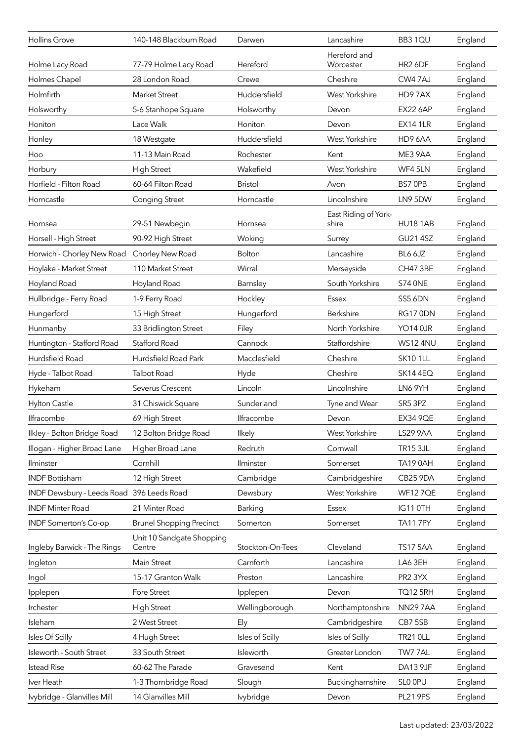| <b>Hollins Grove</b>                      | 140-148 Blackburn Road              | Darwen           | Lancashire                    | BB3 1QU             | England |
|-------------------------------------------|-------------------------------------|------------------|-------------------------------|---------------------|---------|
| Holme Lacy Road                           | 77-79 Holme Lacy Road               | Hereford         | Hereford and<br>Worcester     | HR <sub>2</sub> 6DF | England |
| Holmes Chapel                             | 28 London Road                      | Crewe            | Cheshire                      | CW <sub>47AJ</sub>  | England |
| Holmfirth                                 | Market Street                       | Huddersfield     | West Yorkshire                | HD97AX              | England |
| Holsworthy                                | 5-6 Stanhope Square                 | Holsworthy       | Devon                         | <b>EX22 6AP</b>     | England |
| Honiton                                   | Lace Walk                           | Honiton          | Devon                         | <b>EX14 1LR</b>     | England |
| Honley                                    | 18 Westgate                         | Huddersfield     | West Yorkshire                | HD96AA              | England |
| Hoo                                       | 11-13 Main Road                     | Rochester        | Kent                          | ME3 9AA             | England |
| Horbury                                   | <b>High Street</b>                  | Wakefield        | West Yorkshire                | WF4 5LN             | England |
| Horfield - Filton Road                    | 60-64 Filton Road                   | <b>Bristol</b>   | Avon                          | BS7 OPB             | England |
| Horncastle                                | <b>Conging Street</b>               | Horncastle       | Lincolnshire                  | LN9 5DW             | England |
| Hornsea                                   | 29-51 Newbegin                      | Hornsea          | East Riding of York-<br>shire | <b>HU181AB</b>      | England |
| Horsell - High Street                     | 90-92 High Street                   | Woking           | Surrey                        | <b>GU21 4SZ</b>     | England |
| Horwich - Chorley New Road                | Chorley New Road                    | <b>Bolton</b>    | Lancashire                    | BL6 6JZ             | England |
| Hoylake - Market Street                   | 110 Market Street                   | Wirral           | Merseyside                    | <b>CH47 3BE</b>     | England |
| Hoyland Road                              | Hoyland Road                        | Barnsley         | South Yorkshire               | <b>S74 ONE</b>      | England |
| Hullbridge - Ferry Road                   | 1-9 Ferry Road                      | Hockley          | Essex                         | SS5 6DN             | England |
| Hungerford                                | 15 High Street                      | Hungerford       | Berkshire                     | RG17 0DN            | England |
| Hunmanby                                  | 33 Bridlington Street               | Filey            | North Yorkshire               | <b>YO14 0JR</b>     | England |
| Huntington - Stafford Road                | Stafford Road                       | Cannock          | Staffordshire                 | WS12 4NU            | England |
| Hurdsfield Road                           | Hurdsfield Road Park                | Macclesfield     | Cheshire                      | <b>SK101LL</b>      | England |
| Hyde - Talbot Road                        | <b>Talbot Road</b>                  | Hyde             | Cheshire                      | <b>SK144EQ</b>      | England |
| Hykeham                                   | Severus Crescent                    | Lincoln          | Lincolnshire                  | LN6 9YH             | England |
| <b>Hylton Castle</b>                      | 31 Chiswick Square                  | Sunderland       | Tyne and Wear                 | SR5 3PZ             | England |
| Ilfracombe                                | 69 High Street                      | Ilfracombe       | Devon                         | <b>EX34 9QE</b>     | England |
| Ilkley - Bolton Bridge Road               | 12 Bolton Bridge Road               | Ilkely           | West Yorkshire                | LS29 9AA            | England |
| Illogan - Higher Broad Lane               | Higher Broad Lane                   | Redruth          | Cornwall                      | <b>TR15 3JL</b>     | England |
| Ilminster                                 | Cornhill                            | Ilminster        | Somerset                      | <b>TA19 0AH</b>     | England |
| <b>INDF Bottisham</b>                     | 12 High Street                      | Cambridge        | Cambridgeshire                | CB25 9DA            | England |
| INDF Dewsbury - Leeds Road 396 Leeds Road |                                     | Dewsbury         | West Yorkshire                | <b>WF127QE</b>      | England |
| <b>INDF Minter Road</b>                   | 21 Minter Road                      | Barking          | <b>Essex</b>                  | IG11 0TH            | England |
| <b>INDF Somerton's Co-op</b>              | <b>Brunel Shopping Precinct</b>     | Somerton         | Somerset                      | <b>TA11 7PY</b>     | England |
| Ingleby Barwick - The Rings               | Unit 10 Sandgate Shopping<br>Centre | Stockton-On-Tees | Cleveland                     | <b>TS17 5AA</b>     | England |
| Ingleton                                  | Main Street                         | Carnforth        | Lancashire                    | LA6 3EH             | England |
| Ingol                                     | 15-17 Granton Walk                  | Preston          | Lancashire                    | PR2 3YX             | England |
| Ipplepen                                  | <b>Fore Street</b>                  | Ipplepen         | Devon                         | <b>TQ12 5RH</b>     | England |
| Irchester                                 | <b>High Street</b>                  | Wellingborough   | Northamptonshire              | <b>NN297AA</b>      | England |
| Isleham                                   | 2 West Street                       | Ely              | Cambridgeshire                | CB7 5SB             | England |
| Isles Of Scilly                           | 4 Hugh Street                       | Isles of Scilly  | Isles of Scilly               | <b>TR21 OLL</b>     | England |
| Isleworth - South Street                  | 33 South Street                     | Isleworth        | Greater London                | TW77AL              | England |
| <b>Istead Rise</b>                        | 60-62 The Parade                    | Gravesend        | Kent                          | DA13 9JF            | England |
| Iver Heath                                | 1-3 Thornbridge Road                | Slough           | Buckinghamshire               | SLO OPU             | England |
| Ivybridge - Glanvilles Mill               | 14 Glanvilles Mill                  | lvybridge        | Devon                         | <b>PL21 9PS</b>     | England |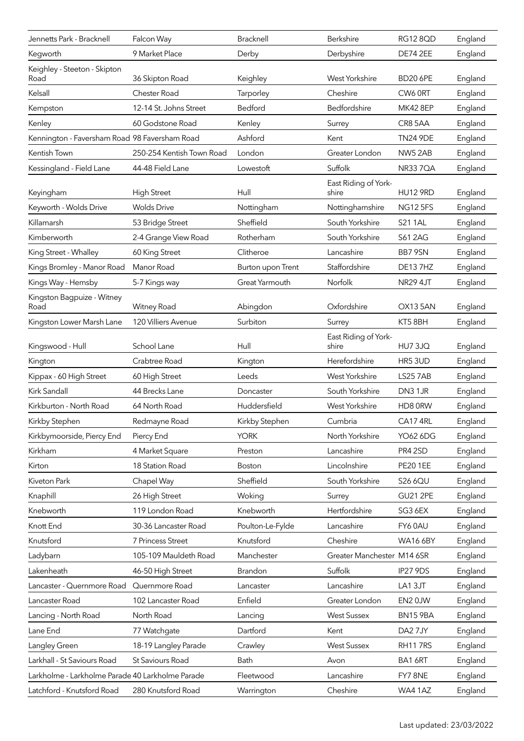| Jennetts Park - Bracknell                        | Falcon Way                | Bracknell         | Berkshire                     | <b>RG12 8QD</b> | England |
|--------------------------------------------------|---------------------------|-------------------|-------------------------------|-----------------|---------|
| Kegworth                                         | 9 Market Place            | Derby             | Derbyshire                    | <b>DE74 2EE</b> | England |
| Keighley - Steeton - Skipton<br>Road             | 36 Skipton Road           | Keighley          | <b>West Yorkshire</b>         | <b>BD20 6PE</b> | England |
| Kelsall                                          | Chester Road              | Tarporley         | Cheshire                      | CW6 ORT         | England |
| Kempston                                         | 12-14 St. Johns Street    | Bedford           | Bedfordshire                  | <b>MK42 8EP</b> | England |
| Kenley                                           | 60 Godstone Road          | Kenley            | Surrey                        | CR8 5AA         | England |
| Kennington - Faversham Road 98 Faversham Road    |                           | Ashford           | Kent                          | <b>TN24 9DE</b> | England |
| Kentish Town                                     | 250-254 Kentish Town Road | London            | Greater London                | NW52AB          | England |
| Kessingland - Field Lane                         | 44-48 Field Lane          | Lowestoft         | Suffolk                       | <b>NR337QA</b>  | England |
| Keyingham                                        | <b>High Street</b>        | Hull              | East Riding of York-<br>shire | <b>HU12 9RD</b> | England |
| Keyworth - Wolds Drive                           | <b>Wolds Drive</b>        | Nottingham        | Nottinghamshire               | <b>NG12 5FS</b> | England |
| Killamarsh                                       | 53 Bridge Street          | Sheffield         | South Yorkshire               | <b>S211AL</b>   | England |
| Kimberworth                                      | 2-4 Grange View Road      | Rotherham         | South Yorkshire               | <b>S61 2AG</b>  | England |
| King Street - Whalley                            | 60 King Street            | Clitheroe         | Lancashire                    | BB7 9SN         | England |
| Kings Bromley - Manor Road                       | Manor Road                | Burton upon Trent | Staffordshire                 | DE137HZ         | England |
| Kings Way - Hemsby                               | 5-7 Kings way             | Great Yarmouth    | Norfolk                       | <b>NR29 4JT</b> | England |
| Kingston Bagpuize - Witney<br>Road               | <b>Witney Road</b>        | Abingdon          | Oxfordshire                   | OX135AN         | England |
| Kingston Lower Marsh Lane                        | 120 Villiers Avenue       | Surbiton          | Surrey                        | KT58BH          | England |
| Kingswood - Hull                                 | School Lane               | Hull              | East Riding of York-<br>shire | HU73JQ          | England |
| Kington                                          | Crabtree Road             | Kington           | Herefordshire                 | HR5 3UD         | England |
| Kippax - 60 High Street                          | 60 High Street            | Leeds             | West Yorkshire                | <b>LS25 7AB</b> | England |
| Kirk Sandall                                     | 44 Brecks Lane            | Doncaster         | South Yorkshire               | DN3 1JR         | England |
| Kirkburton - North Road                          | 64 North Road             | Huddersfield      | West Yorkshire                | HD8 0RW         | England |
| Kirkby Stephen                                   | Redmayne Road             | Kirkby Stephen    | Cumbria                       | CA174RL         | England |
| Kirkbymoorside, Piercy End                       | Piercy End                | <b>YORK</b>       | North Yorkshire               | YO62 6DG        | England |
| Kirkham                                          | 4 Market Square           | Preston           | Lancashire                    | PR4 2SD         | England |
| Kirton                                           | 18 Station Road           | <b>Boston</b>     | Lincolnshire                  | <b>PE20 1EE</b> | England |
| Kiveton Park                                     | Chapel Way                | Sheffield         | South Yorkshire               | S26 6QU         | England |
| Knaphill                                         | 26 High Street            | Woking            | Surrey                        | <b>GU21 2PE</b> | England |
| Knebworth                                        | 119 London Road           | Knebworth         | Hertfordshire                 | SG3 6EX         | England |
| Knott End                                        | 30-36 Lancaster Road      | Poulton-Le-Fylde  | Lancashire                    | FY60AU          | England |
| Knutsford                                        | 7 Princess Street         | Knutsford         | Cheshire                      | <b>WA16 6BY</b> | England |
| Ladybarn                                         | 105-109 Mauldeth Road     | Manchester        | Greater Manchester M14 6SR    |                 | England |
| Lakenheath                                       | 46-50 High Street         | <b>Brandon</b>    | Suffolk                       | IP27 9DS        | England |
| Lancaster - Quernmore Road                       | Quernmore Road            | Lancaster         | Lancashire                    | LA13JT          | England |
| Lancaster Road                                   | 102 Lancaster Road        | Enfield           | Greater London                | EN2 0JW         | England |
| Lancing - North Road                             | North Road                | Lancing           | <b>West Sussex</b>            | BN159BA         | England |
| Lane End                                         | 77 Watchgate              | Dartford          | Kent                          | DA2 7JY         | England |
| Langley Green                                    | 18-19 Langley Parade      | Crawley           | <b>West Sussex</b>            | <b>RH117RS</b>  | England |
| Larkhall - St Saviours Road                      | St Saviours Road          | Bath              | Avon                          | BA1 6RT         | England |
| Larkholme - Larkholme Parade 40 Larkholme Parade |                           | Fleetwood         | Lancashire                    | FY7 8NE         | England |
| Latchford - Knutsford Road                       | 280 Knutsford Road        | Warrington        | Cheshire                      | WA41AZ          | England |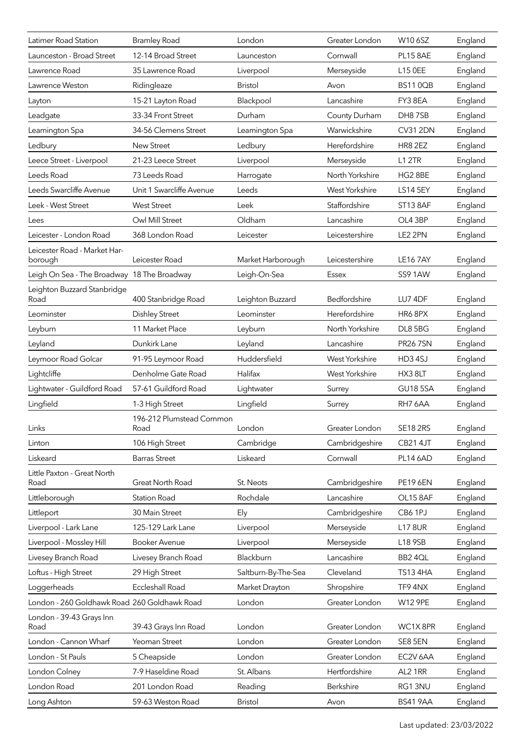| Latimer Road Station                         | <b>Bramley Road</b>              | London              | Greater London  | W10 6SZ         | England |
|----------------------------------------------|----------------------------------|---------------------|-----------------|-----------------|---------|
| Launceston - Broad Street                    | 12-14 Broad Street               | Launceston          | Cornwall        | <b>PL15 8AE</b> | England |
| Lawrence Road                                | 35 Lawrence Road                 | Liverpool           | Merseyside      | L15 0EE         | England |
| Lawrence Weston                              | Ridingleaze                      | <b>Bristol</b>      | Avon            | <b>BS110QB</b>  | England |
| Layton                                       | 15-21 Layton Road                | Blackpool           | Lancashire      | FY3 8EA         | England |
| Leadgate                                     | 33-34 Front Street               | Durham              | County Durham   | DH87SB          | England |
| Leamington Spa                               | 34-56 Clemens Street             | Leamington Spa      | Warwickshire    | <b>CV31 2DN</b> | England |
| Ledbury                                      | <b>New Street</b>                | Ledbury             | Herefordshire   | HR8 2EZ         | England |
| Leece Street - Liverpool                     | 21-23 Leece Street               | Liverpool           | Merseyside      | <b>L1 2TR</b>   | England |
| Leeds Road                                   | 73 Leeds Road                    | Harrogate           | North Yorkshire | HG2 8BE         | England |
| Leeds Swarcliffe Avenue                      | Unit 1 Swarcliffe Avenue         | Leeds               | West Yorkshire  | <b>LS14 5EY</b> | England |
| Leek - West Street                           | <b>West Street</b>               | Leek                | Staffordshire   | <b>ST13 8AF</b> | England |
| Lees                                         | Owl Mill Street                  | Oldham              | Lancashire      | OL4 3BP         | England |
| Leicester - London Road                      | 368 London Road                  | Leicester           | Leicestershire  | LE2 2PN         | England |
| Leicester Road - Market Har-<br>borough      | Leicester Road                   | Market Harborough   | Leicestershire  | <b>LE167AY</b>  | England |
| Leigh On Sea - The Broadway 18 The Broadway  |                                  | Leigh-On-Sea        | Essex           | SS91AW          | England |
| Leighton Buzzard Stanbridge<br>Road          | 400 Stanbridge Road              | Leighton Buzzard    | Bedfordshire    | LU7 4DF         | England |
| Leominster                                   | <b>Dishley Street</b>            | Leominster          | Herefordshire   | HR6 8PX         | England |
| Leyburn                                      | 11 Market Place                  | Leyburn             | North Yorkshire | DL8 5BG         | England |
| Leyland                                      | Dunkirk Lane                     | Leyland             | Lancashire      | <b>PR267SN</b>  | England |
| Leymoor Road Golcar                          | 91-95 Leymoor Road               | Huddersfield        | West Yorkshire  | HD3 4SJ         | England |
| Lightcliffe                                  | Denholme Gate Road               | Halifax             | West Yorkshire  | HX3 8LT         | England |
| Lightwater - Guildford Road                  | 57-61 Guildford Road             | Lightwater          | Surrey          | <b>GU18 5SA</b> | England |
| Lingfield                                    | 1-3 High Street                  | Lingfield           | Surrey          | RH7 6AA         | England |
| Links                                        | 196-212 Plumstead Common<br>Road | London              | Greater London  | <b>SE18 2RS</b> | England |
| Linton                                       | 106 High Street                  | Cambridge           | Cambridgeshire  | <b>CB21 4JT</b> | England |
| Liskeard                                     | <b>Barras Street</b>             | Liskeard            | Cornwall        | <b>PL14 6AD</b> | England |
| Little Paxton - Great North<br>Road          | Great North Road                 | St. Neots           | Cambridgeshire  | <b>PE19 6EN</b> | England |
| Littleborough                                | <b>Station Road</b>              | Rochdale            | Lancashire      | OL158AF         | England |
| Littleport                                   | 30 Main Street                   | Ely                 | Cambridgeshire  | CB61PJ          | England |
| Liverpool - Lark Lane                        | 125-129 Lark Lane                | Liverpool           | Merseyside      | <b>L17 8UR</b>  | England |
| Liverpool - Mossley Hill                     | <b>Booker Avenue</b>             | Liverpool           | Merseyside      | L18 9SB         | England |
| Livesey Branch Road                          | Livesey Branch Road              | Blackburn           | Lancashire      | BB2 4QL         | England |
| Loftus - High Street                         | 29 High Street                   | Saltburn-By-The-Sea | Cleveland       | <b>TS13 4HA</b> | England |
| Loggerheads                                  | <b>Eccleshall Road</b>           | Market Drayton      | Shropshire      | TF9 4NX         | England |
| London - 260 Goldhawk Road 260 Goldhawk Road |                                  | London              | Greater London  | W12 9PE         | England |
| London - 39-43 Grays Inn<br>Road             | 39-43 Grays Inn Road             | London              | Greater London  | WC1X8PR         | England |
| London - Cannon Wharf                        | Yeoman Street                    | London              | Greater London  | SE8 5EN         | England |
| London - St Pauls                            | 5 Cheapside                      | London              | Greater London  | EC2V 6AA        | England |
| London Colney                                | 7-9 Haseldine Road               | St. Albans          | Hertfordshire   | AL2 1RR         | England |
| London Road                                  | 201 London Road                  | Reading             | Berkshire       | RG13NU          | England |
| Long Ashton                                  | 59-63 Weston Road                | <b>Bristol</b>      | Avon            | <b>BS41 9AA</b> | England |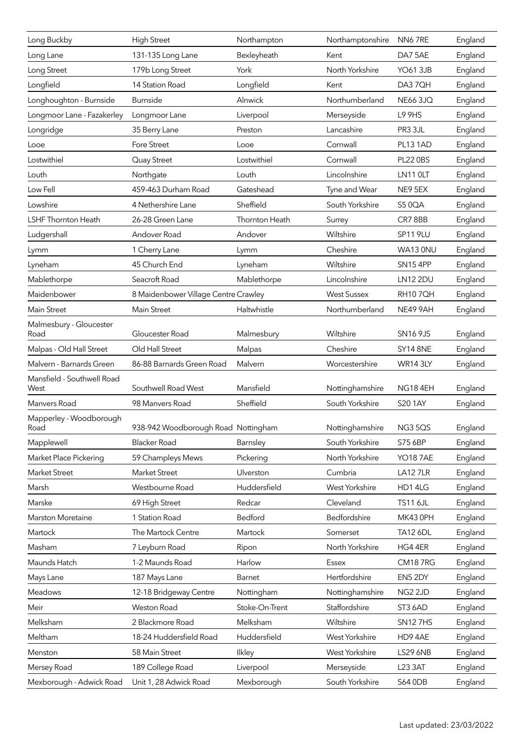| Long Buckby                        | <b>High Street</b>                   | Northampton    | Northamptonshire      | NN67RE          | England |
|------------------------------------|--------------------------------------|----------------|-----------------------|-----------------|---------|
| Long Lane                          | 131-135 Long Lane                    | Bexleyheath    | Kent                  | DA7 5AE         | England |
| Long Street                        | 179b Long Street                     | York           | North Yorkshire       | <b>YO61 3JB</b> | England |
| Longfield                          | 14 Station Road                      | Longfield      | Kent                  | DA37QH          | England |
| Longhoughton - Burnside            | <b>Burnside</b>                      | Alnwick        | Northumberland        | <b>NE66 3JQ</b> | England |
| Longmoor Lane - Fazakerley         | Longmoor Lane                        | Liverpool      | Merseyside            | L9 9HS          | England |
| Longridge                          | 35 Berry Lane                        | Preston        | Lancashire            | PR3 3JL         | England |
| Looe                               | Fore Street                          | Looe           | Cornwall              | <b>PL13 1AD</b> | England |
| Lostwithiel                        | Quay Street                          | Lostwithiel    | Cornwall              | <b>PL22 0BS</b> | England |
| Louth                              | Northgate                            | Louth          | Lincolnshire          | LN11 OLT        | England |
| Low Fell                           | 459-463 Durham Road                  | Gateshead      | Tyne and Wear         | NE9 5EX         | England |
| Lowshire                           | 4 Nethershire Lane                   | Sheffield      | South Yorkshire       | S50QA           | England |
| <b>LSHF Thornton Heath</b>         | 26-28 Green Lane                     | Thornton Heath | Surrey                | CR78BB          | England |
| Ludgershall                        | Andover Road                         | Andover        | Wiltshire             | <b>SP11 9LU</b> | England |
| Lymm                               | 1 Cherry Lane                        | Lymm           | Cheshire              | WA13 0NU        | England |
| Lyneham                            | 45 Church End                        | Lyneham        | Wiltshire             | <b>SN15 4PP</b> | England |
| Mablethorpe                        | Seacroft Road                        | Mablethorpe    | Lincolnshire          | <b>LN12 2DU</b> | England |
| Maidenbower                        | 8 Maidenbower Village Centre Crawley |                | <b>West Sussex</b>    | <b>RH107QH</b>  | England |
| Main Street                        | <b>Main Street</b>                   | Haltwhistle    | Northumberland        | NE49 9AH        | England |
| Malmesbury - Gloucester<br>Road    | Gloucester Road                      | Malmesbury     | Wiltshire             | <b>SN16 9JS</b> | England |
| Malpas - Old Hall Street           | Old Hall Street                      | Malpas         | Cheshire              | <b>SY14 8NE</b> | England |
| Malvern - Barnards Green           | 86-88 Barnards Green Road            | Malvern        | Worcestershire        | WR143LY         | England |
| Mansfield - Southwell Road<br>West | Southwell Road West                  | Mansfield      | Nottinghamshire       | NG184EH         | England |
| Manvers Road                       | 98 Manvers Road                      | Sheffield      | South Yorkshire       | <b>S20 1AY</b>  | England |
| Mapperley - Woodborough<br>Road    | 938-942 Woodborough Road Nottingham  |                | Nottinghamshire       | <b>NG35QS</b>   | England |
| Mapplewell                         | <b>Blacker Road</b>                  | Barnsley       | South Yorkshire       | S75 6BP         | England |
| Market Place Pickering             | 59 Champleys Mews                    | Pickering      | North Yorkshire       | <b>YO187AE</b>  | England |
| Market Street                      | Market Street                        | Ulverston      | Cumbria               | <b>LA127LR</b>  | England |
| Marsh                              | Westbourne Road                      | Huddersfield   | <b>West Yorkshire</b> | HD14LG          | England |
| Marske                             | 69 High Street                       | Redcar         | Cleveland             | <b>TS11 6JL</b> | England |
| Marston Moretaine                  | 1 Station Road                       | Bedford        | Bedfordshire          | MK43 OPH        | England |
| Martock                            | The Martock Centre                   | Martock        | Somerset              | <b>TA12 6DL</b> | England |
| Masham                             | 7 Leyburn Road                       | Ripon          | North Yorkshire       | HG4 4ER         | England |
| Maunds Hatch                       | 1-2 Maunds Road                      | Harlow         | <b>Essex</b>          | <b>CM187RG</b>  | England |
| Mays Lane                          | 187 Mays Lane                        | Barnet         | Hertfordshire         | EN5 2DY         | England |
| Meadows                            | 12-18 Bridgeway Centre               | Nottingham     | Nottinghamshire       | NG2 2JD         | England |
| Meir                               | Weston Road                          | Stoke-On-Trent | Staffordshire         | ST3 6AD         | England |
| Melksham                           | 2 Blackmore Road                     | Melksham       | Wiltshire             | <b>SN127HS</b>  | England |
| Meltham                            | 18-24 Huddersfield Road              | Huddersfield   | West Yorkshire        | HD9 4AE         | England |
| Menston                            | 58 Main Street                       | Ilkley         | West Yorkshire        | <b>LS29 6NB</b> | England |
| Mersey Road                        | 189 College Road                     | Liverpool      | Merseyside            | L23 3AT         | England |
| Mexborough - Adwick Road           | Unit 1, 28 Adwick Road               | Mexborough     | South Yorkshire       | <b>S64 ODB</b>  | England |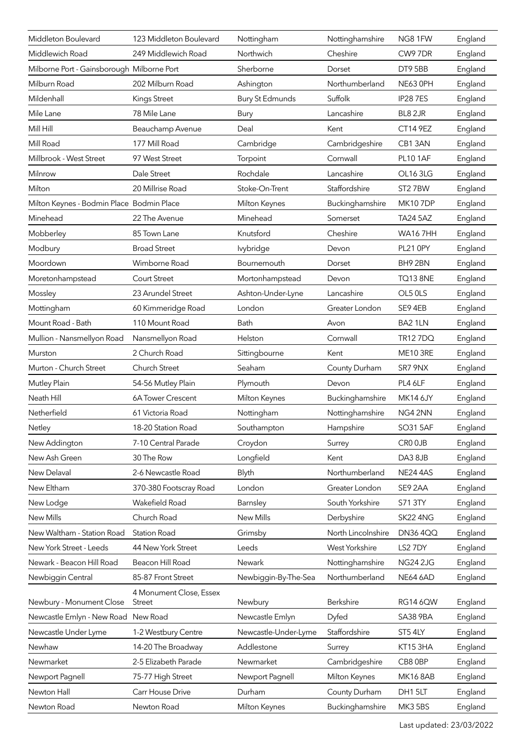| Middleton Boulevard                        | 123 Middleton Boulevard                  | Nottingham             | Nottinghamshire    | NG81FW             | England |
|--------------------------------------------|------------------------------------------|------------------------|--------------------|--------------------|---------|
| Middlewich Road                            | 249 Middlewich Road                      | Northwich              | Cheshire           | CW9 7DR            | England |
| Milborne Port - Gainsborough Milborne Port |                                          | Sherborne              | Dorset             | DT9 5BB            | England |
| Milburn Road                               | 202 Milburn Road                         | Ashington              | Northumberland     | NE63 OPH           | England |
| Mildenhall                                 | Kings Street                             | <b>Bury St Edmunds</b> | Suffolk            | <b>IP287ES</b>     | England |
| Mile Lane                                  | 78 Mile Lane                             | Bury                   | Lancashire         | BL8 2JR            | England |
| Mill Hill                                  | Beauchamp Avenue                         | Deal                   | Kent               | <b>CT14 9EZ</b>    | England |
| Mill Road                                  | 177 Mill Road                            | Cambridge              | Cambridgeshire     | CB1 3AN            | England |
| Millbrook - West Street                    | 97 West Street                           | Torpoint               | Cornwall           | <b>PL10 1AF</b>    | England |
| Milnrow                                    | Dale Street                              | Rochdale               | Lancashire         | OL16 3LG           | England |
| Milton                                     | 20 Millrise Road                         | Stoke-On-Trent         | Staffordshire      | ST27BW             | England |
| Milton Keynes - Bodmin Place Bodmin Place  |                                          | Milton Keynes          | Buckinghamshire    | <b>MK107DP</b>     | England |
| Minehead                                   | 22 The Avenue                            | Minehead               | Somerset           | <b>TA24 5AZ</b>    | England |
| Mobberley                                  | 85 Town Lane                             | Knutsford              | Cheshire           | <b>WA167HH</b>     | England |
| Modbury                                    | <b>Broad Street</b>                      | lvybridge              | Devon              | <b>PL21 0PY</b>    | England |
| Moordown                                   | Wimborne Road                            | Bournemouth            | Dorset             | BH9 2BN            | England |
| Moretonhampstead                           | <b>Court Street</b>                      | Mortonhampstead        | Devon              | <b>TQ13 8NE</b>    | England |
| Mossley                                    | 23 Arundel Street                        | Ashton-Under-Lyne      | Lancashire         | OL5 OLS            | England |
| Mottingham                                 | 60 Kimmeridge Road                       | London                 | Greater London     | SE94EB             | England |
| Mount Road - Bath                          | 110 Mount Road                           | Bath                   | Avon               | BA2 1LN            | England |
| Mullion - Nansmellyon Road                 | Nansmellyon Road                         | Helston                | Cornwall           | <b>TR127DQ</b>     | England |
| Murston                                    | 2 Church Road                            | Sittingbourne          | Kent               | <b>ME10 3RE</b>    | England |
| Murton - Church Street                     | Church Street                            | Seaham                 | County Durham      | SR7 9NX            | England |
| Mutley Plain                               | 54-56 Mutley Plain                       | Plymouth               | Devon              | PL4 6LF            | England |
| Neath Hill                                 | 6A Tower Crescent                        | Milton Keynes          | Buckinghamshire    | <b>MK14 6JY</b>    | England |
| Netherfield                                | 61 Victoria Road                         | Nottingham             | Nottinghamshire    | NG42NN             | England |
| Netley                                     | 18-20 Station Road                       | Southampton            | Hampshire          | SO31 5AF           | England |
| New Addington                              | 7-10 Central Parade                      | Croydon                | Surrey             | CRO <sub>OJB</sub> | England |
| New Ash Green                              | 30 The Row                               | Longfield              | Kent               | DA38JB             | England |
| New Delaval                                | 2-6 Newcastle Road                       | Blyth                  | Northumberland     | NE24 4AS           | England |
| New Eltham                                 | 370-380 Footscray Road                   | London                 | Greater London     | SE9 2AA            | England |
| New Lodge                                  | Wakefield Road                           | Barnsley               | South Yorkshire    | S713TY             | England |
| New Mills                                  | Church Road                              | New Mills              | Derbyshire         | SK22 4NG           | England |
| New Waltham - Station Road                 | <b>Station Road</b>                      | Grimsby                | North Lincolnshire | DN364QQ            | England |
| New York Street - Leeds                    | 44 New York Street                       | Leeds                  | West Yorkshire     | LS2 7DY            | England |
| Newark - Beacon Hill Road                  | Beacon Hill Road                         | Newark                 | Nottinghamshire    | <b>NG24 2JG</b>    | England |
| Newbiggin Central                          | 85-87 Front Street                       | Newbiggin-By-The-Sea   | Northumberland     | NE64 6AD           | England |
| Newbury - Monument Close                   | 4 Monument Close, Essex<br><b>Street</b> | Newbury                | Berkshire          | RG14 6QW           | England |
| Newcastle Emlyn - New Road                 | New Road                                 | Newcastle Emlyn        | Dyfed              | SA38 9BA           | England |
| Newcastle Under Lyme                       | 1-2 Westbury Centre                      | Newcastle-Under-Lyme   | Staffordshire      | ST5 4LY            | England |
| Newhaw                                     | 14-20 The Broadway                       | Addlestone             | Surrey             | KT153HA            | England |
| Newmarket                                  | 2-5 Elizabeth Parade                     | Newmarket              | Cambridgeshire     | CB8 0BP            | England |
| Newport Pagnell                            | 75-77 High Street                        | Newport Pagnell        | Milton Keynes      | <b>MK16 8AB</b>    | England |
| Newton Hall                                | Carr House Drive                         | Durham                 | County Durham      | DH1 5LT            | England |
| Newton Road                                | Newton Road                              | Milton Keynes          | Buckinghamshire    | MK35BS             | England |

Last updated: 23/03/2022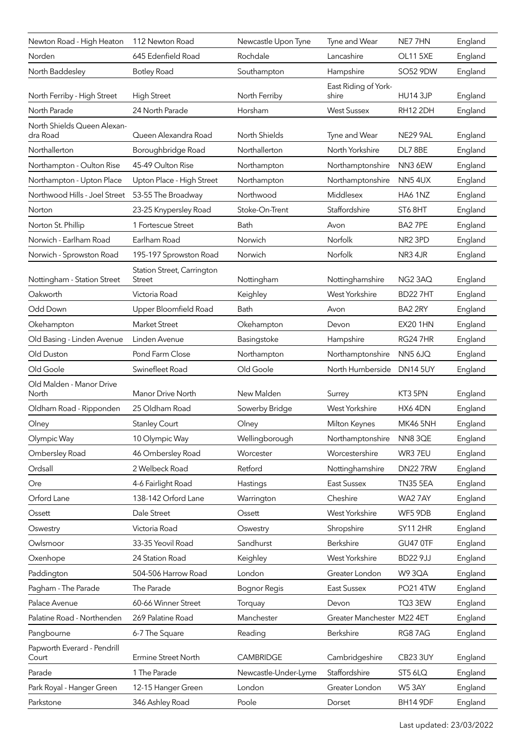| Newton Road - High Heaton               | 112 Newton Road                             | Newcastle Upon Tyne  | Tyne and Wear              | NE777HN             | England |
|-----------------------------------------|---------------------------------------------|----------------------|----------------------------|---------------------|---------|
| Norden                                  | 645 Edenfield Road                          | Rochdale             | Lancashire                 | <b>OL11 5XE</b>     | England |
| North Baddesley                         | <b>Botley Road</b>                          | Southampton          | Hampshire                  | SO52 9DW            | England |
|                                         |                                             |                      | East Riding of York-       |                     |         |
| North Ferriby - High Street             | <b>High Street</b>                          | North Ferriby        | shire                      | <b>HU14 3JP</b>     | England |
| North Parade                            | 24 North Parade                             | Horsham              | <b>West Sussex</b>         | RH12 2DH            | England |
| North Shields Queen Alexan-<br>dra Road | Queen Alexandra Road                        | North Shields        | Tyne and Wear              | NE29 9AL            | England |
| Northallerton                           | Boroughbridge Road                          | Northallerton        | North Yorkshire            | DL7 8BE             | England |
| Northampton - Oulton Rise               | 45-49 Oulton Rise                           | Northampton          | Northamptonshire           | NN3 6EW             | England |
| Northampton - Upton Place               | Upton Place - High Street                   | Northampton          | Northamptonshire           | <b>NN54UX</b>       | England |
| Northwood Hills - Joel Street           | 53-55 The Broadway                          | Northwood            | Middlesex                  | HA61NZ              | England |
| Norton                                  | 23-25 Knypersley Road                       | Stoke-On-Trent       | Staffordshire              | ST6 8HT             | England |
| Norton St. Phillip                      | 1 Fortescue Street                          | Bath                 | Avon                       | BA2 7PE             | England |
| Norwich - Earlham Road                  | Earlham Road                                | Norwich              | Norfolk                    | NR <sub>2</sub> 3PD | England |
| Norwich - Sprowston Road                | 195-197 Sprowston Road                      | Norwich              | Norfolk                    | NR3 4JR             | England |
| Nottingham - Station Street             | Station Street, Carrington<br><b>Street</b> | Nottingham           | Nottinghamshire            | NG2 3AQ             | England |
| Oakworth                                | Victoria Road                               | Keighley             | West Yorkshire             | <b>BD227HT</b>      | England |
| Odd Down                                | Upper Bloomfield Road                       | <b>Bath</b>          | Avon                       | BA2 2RY             | England |
| Okehampton                              | <b>Market Street</b>                        | Okehampton           | Devon                      | <b>EX201HN</b>      | England |
| Old Basing - Linden Avenue              | Linden Avenue                               | Basingstoke          | Hampshire                  | <b>RG24 7HR</b>     | England |
| Old Duston                              | Pond Farm Close                             | Northampton          | Northamptonshire           | <b>NN5 6JQ</b>      | England |
| Old Goole                               | Swinefleet Road                             | Old Goole            | North Humberside           | <b>DN145UY</b>      | England |
| Old Malden - Manor Drive                |                                             |                      |                            |                     |         |
| North                                   | Manor Drive North                           | New Malden           | Surrey                     | KT3 5PN             | England |
| Oldham Road - Ripponden                 | 25 Oldham Road                              | Sowerby Bridge       | West Yorkshire             | HX64DN              | England |
| Olney                                   | <b>Stanley Court</b>                        | Olney                | Milton Keynes              | <b>MK46 5NH</b>     | England |
| Olympic Way                             | 10 Olympic Way                              | Wellingborough       | Northamptonshire           | <b>NN8 3QE</b>      | England |
| Ombersley Road                          | 46 Ombersley Road                           | Worcester            | Worcestershire             | WR3 7EU             | England |
| Ordsall                                 | 2 Welbeck Road                              | Retford              | Nottinghamshire            | DN227RW             | England |
| Ore                                     | 4-6 Fairlight Road                          | Hastings             | <b>East Sussex</b>         | <b>TN35 5EA</b>     | England |
| Orford Lane                             | 138-142 Orford Lane                         | Warrington           | Cheshire                   | WA27AY              | England |
| Ossett                                  | Dale Street                                 | Ossett               | West Yorkshire             | WF5 9DB             | England |
| Oswestry                                | Victoria Road                               | Oswestry             | Shropshire                 | SY11 2HR            | England |
| Owlsmoor                                | 33-35 Yeovil Road                           | Sandhurst            | Berkshire                  | GU47 OTF            | England |
| Oxenhope                                | 24 Station Road                             | Keighley             | West Yorkshire             | <b>BD22 9JJ</b>     | England |
| Paddington                              | 504-506 Harrow Road                         | London               | Greater London             | W93QA               | England |
| Pagham - The Parade                     | The Parade                                  | <b>Bognor Regis</b>  | East Sussex                | <b>PO21 4TW</b>     | England |
| Palace Avenue                           | 60-66 Winner Street                         | Torquay              | Devon                      | TQ3 3EW             | England |
| Palatine Road - Northenden              | 269 Palatine Road                           | Manchester           | Greater Manchester M22 4ET |                     | England |
| Pangbourne                              | 6-7 The Square                              | Reading              | Berkshire                  | RG87AG              | England |
| Papworth Everard - Pendrill<br>Court    | Ermine Street North                         | <b>CAMBRIDGE</b>     | Cambridgeshire             | <b>CB23 3UY</b>     | England |
| Parade                                  | 1 The Parade                                | Newcastle-Under-Lyme | Staffordshire              | ST5 6LQ             | England |
| Park Royal - Hanger Green               | 12-15 Hanger Green                          | London               | Greater London             | W53AY               | England |
| Parkstone                               | 346 Ashley Road                             | Poole                | Dorset                     | BH14 9DF            | England |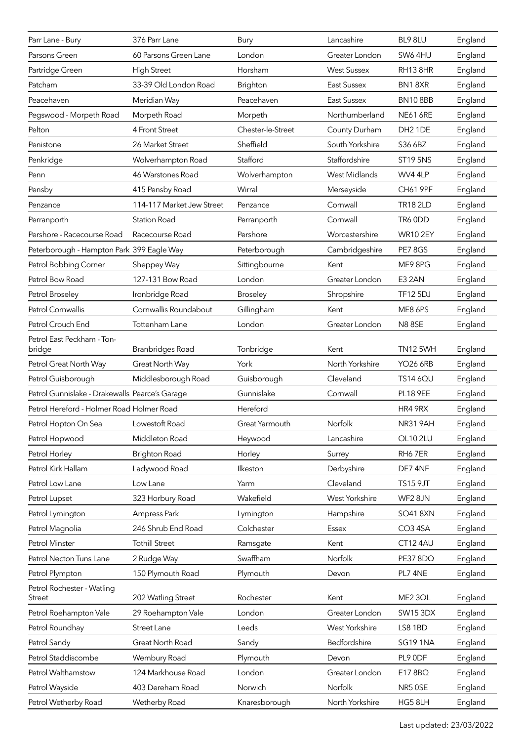| Parr Lane - Bury                               | 376 Parr Lane             | Bury              | Lancashire         | BL9 8LU             | England |
|------------------------------------------------|---------------------------|-------------------|--------------------|---------------------|---------|
| Parsons Green                                  | 60 Parsons Green Lane     | London            | Greater London     | SW6 4HU             | England |
| Partridge Green                                | <b>High Street</b>        | Horsham           | <b>West Sussex</b> | RH138HR             | England |
| Patcham                                        | 33-39 Old London Road     | Brighton          | East Sussex        | BN18XR              | England |
| Peacehaven                                     | Meridian Way              | Peacehaven        | <b>East Sussex</b> | <b>BN108BB</b>      | England |
| Pegswood - Morpeth Road                        | Morpeth Road              | Morpeth           | Northumberland     | <b>NE61 6RE</b>     | England |
| Pelton                                         | 4 Front Street            | Chester-le-Street | County Durham      | DH <sub>2</sub> 1DE | England |
| Penistone                                      | 26 Market Street          | Sheffield         | South Yorkshire    | S36 6BZ             | England |
| Penkridge                                      | Wolverhampton Road        | Stafford          | Staffordshire      | <b>ST19 5NS</b>     | England |
| Penn                                           | 46 Warstones Road         | Wolverhampton     | West Midlands      | WV4 4LP             | England |
| Pensby                                         | 415 Pensby Road           | Wirral            | Merseyside         | <b>CH61 9PF</b>     | England |
| Penzance                                       | 114-117 Market Jew Street | Penzance          | Cornwall           | <b>TR18 2LD</b>     | England |
| Perranporth                                    | <b>Station Road</b>       | Perranporth       | Cornwall           | TR6 ODD             | England |
| Pershore - Racecourse Road                     | Racecourse Road           | Pershore          | Worcestershire     | <b>WR10 2EY</b>     | England |
| Peterborough - Hampton Park 399 Eagle Way      |                           | Peterborough      | Cambridgeshire     | <b>PE7 8GS</b>      | England |
| Petrol Bobbing Corner                          | Sheppey Way               | Sittingbourne     | Kent               | ME98PG              | England |
| Petrol Bow Road                                | 127-131 Bow Road          | London            | Greater London     | E3 2AN              | England |
| Petrol Broseley                                | Ironbridge Road           | <b>Broseley</b>   | Shropshire         | <b>TF12 5DJ</b>     | England |
| Petrol Cornwallis                              | Cornwallis Roundabout     | Gillingham        | Kent               | ME8 6PS             | England |
| Petrol Crouch End                              | Tottenham Lane            | London            | Greater London     | <b>N88SE</b>        | England |
| Petrol East Peckham - Ton-                     |                           |                   |                    |                     |         |
| bridge                                         | Branbridges Road          | Tonbridge         | Kent               | <b>TN12 5WH</b>     | England |
| Petrol Great North Way                         | Great North Way           | York              | North Yorkshire    | <b>YO26 6RB</b>     | England |
| Petrol Guisborough                             | Middlesborough Road       | Guisborough       | Cleveland          | <b>TS14 6QU</b>     | England |
| Petrol Gunnislake - Drakewalls Pearce's Garage |                           | Gunnislake        | Cornwall           | <b>PL18 9EE</b>     | England |
| Petrol Hereford - Holmer Road Holmer Road      |                           | Hereford          |                    | HR4 9RX             | England |
| Petrol Hopton On Sea                           | Lowestoft Road            | Great Yarmouth    | Norfolk            | <b>NR31 9AH</b>     | England |
| Petrol Hopwood                                 | Middleton Road            | Heywood           | Lancashire         | <b>OL10 2LU</b>     | England |
| Petrol Horley                                  | <b>Brighton Road</b>      | Horley            | Surrey             | RH6 7ER             | England |
| Petrol Kirk Hallam                             | Ladywood Road             | Ilkeston          | Derbyshire         | DE7 4NF             | England |
| Petrol Low Lane                                | Low Lane                  | Yarm              | Cleveland          | <b>TS15 9JT</b>     | England |
| Petrol Lupset                                  | 323 Horbury Road          | Wakefield         | West Yorkshire     | WF28JN              | England |
| Petrol Lymington                               | Ampress Park              | Lymington         | Hampshire          | <b>SO41 8XN</b>     | England |
| Petrol Magnolia                                | 246 Shrub End Road        | Colchester        | Essex              | CO <sub>3</sub> 4SA | England |
| Petrol Minster                                 | <b>Tothill Street</b>     | Ramsgate          | Kent               | CT12 4AU            | England |
| Petrol Necton Tuns Lane                        | 2 Rudge Way               | Swaffham          | Norfolk            | PE37 8DQ            | England |
| Petrol Plympton                                | 150 Plymouth Road         | Plymouth          | Devon              | PL7 4NE             | England |
| Petrol Rochester - Watling<br><b>Street</b>    | 202 Watling Street        | Rochester         | Kent               | ME2 3QL             | England |
| Petrol Roehampton Vale                         | 29 Roehampton Vale        | London            | Greater London     | SW153DX             | England |
| Petrol Roundhay                                | Street Lane               | Leeds             | West Yorkshire     | LS8 1BD             | England |
| Petrol Sandy                                   | Great North Road          | Sandy             | Bedfordshire       | SG191NA             | England |
| Petrol Staddiscombe                            | Wembury Road              | Plymouth          | Devon              | PL9 ODF             | England |
| Petrol Walthamstow                             | 124 Markhouse Road        | London            | Greater London     | E178BQ              | England |
| Petrol Wayside                                 | 403 Dereham Road          | Norwich           | Norfolk            | NR5 OSE             | England |
| Petrol Wetherby Road                           | Wetherby Road             | Knaresborough     | North Yorkshire    | HG5 8LH             | England |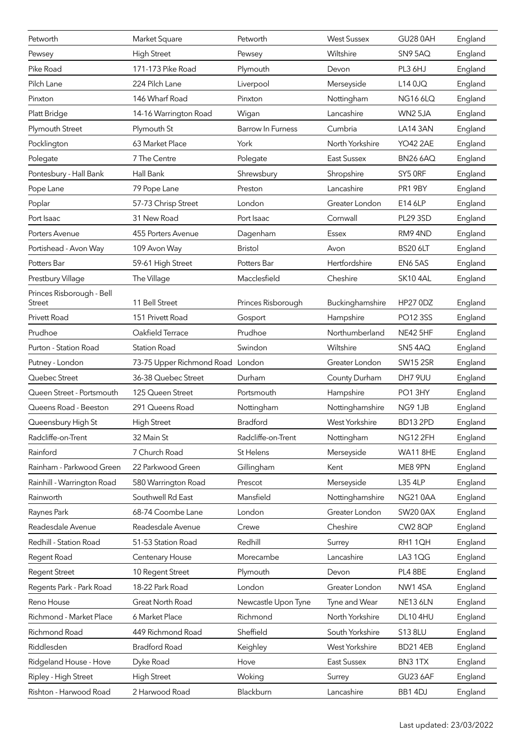| Petworth                                   | Market Square                    | Petworth            | <b>West Sussex</b> | GU28 0AH        | England |
|--------------------------------------------|----------------------------------|---------------------|--------------------|-----------------|---------|
| Pewsey                                     | <b>High Street</b>               | Pewsey              | Wiltshire          | SN95AQ          | England |
| Pike Road                                  | 171-173 Pike Road                | Plymouth            | Devon              | PL3 6HJ         | England |
| Pilch Lane                                 | 224 Pilch Lane                   | Liverpool           | Merseyside         | L14 0JQ         | England |
| Pinxton                                    | 146 Wharf Road                   | Pinxton             | Nottingham         | <b>NG16 6LQ</b> | England |
| Platt Bridge                               | 14-16 Warrington Road            | Wigan               | Lancashire         | WN2 5JA         | England |
| Plymouth Street                            | Plymouth St                      | Barrow In Furness   | Cumbria            | <b>LA14 3AN</b> | England |
| Pocklington                                | 63 Market Place                  | York                | North Yorkshire    | <b>YO42 2AE</b> | England |
| Polegate                                   | 7 The Centre                     | Polegate            | <b>East Sussex</b> | <b>BN26 6AQ</b> | England |
| Pontesbury - Hall Bank                     | <b>Hall Bank</b>                 | Shrewsbury          | Shropshire         | SY5 ORF         | England |
| Pope Lane                                  | 79 Pope Lane                     | Preston             | Lancashire         | PR1 9BY         | England |
| Poplar                                     | 57-73 Chrisp Street              | London              | Greater London     | E14 6LP         | England |
| Port Isaac                                 | 31 New Road                      | Port Isaac          | Cornwall           | <b>PL29 3SD</b> | England |
| Porters Avenue                             | 455 Porters Avenue               | Dagenham            | Essex              | RM94ND          | England |
| Portishead - Avon Way                      | 109 Avon Way                     | <b>Bristol</b>      | Avon               | <b>BS20 6LT</b> | England |
| Potters Bar                                | 59-61 High Street                | Potters Bar         | Hertfordshire      | EN65AS          | England |
| Prestbury Village                          | The Village                      | Macclesfield        | Cheshire           | SK104AL         | England |
| Princes Risborough - Bell<br><b>Street</b> | 11 Bell Street                   | Princes Risborough  | Buckinghamshire    | <b>HP27 0DZ</b> | England |
| <b>Privett Road</b>                        | 151 Privett Road                 | Gosport             | Hampshire          | PO12 3SS        | England |
| Prudhoe                                    | Oakfield Terrace                 | Prudhoe             | Northumberland     | <b>NE42 5HF</b> | England |
| Purton - Station Road                      | <b>Station Road</b>              | Swindon             | Wiltshire          | SN54AQ          | England |
| Putney - London                            | 73-75 Upper Richmond Road London |                     | Greater London     | <b>SW15 2SR</b> | England |
| Quebec Street                              | 36-38 Quebec Street              | Durham              | County Durham      | DH7 9UU         | England |
| Queen Street - Portsmouth                  | 125 Queen Street                 | Portsmouth          | Hampshire          | PO13HY          | England |
| Queens Road - Beeston                      | 291 Queens Road                  | Nottingham          | Nottinghamshire    | NG91JB          | England |
| Queensbury High St                         | <b>High Street</b>               | <b>Bradford</b>     | West Yorkshire     | BD132PD         | England |
| Radcliffe-on-Trent                         | 32 Main St                       | Radcliffe-on-Trent  | Nottingham         | NG12 2FH        | England |
| Rainford                                   | 7 Church Road                    | St Helens           | Merseyside         | WA118HE         | England |
| Rainham - Parkwood Green                   | 22 Parkwood Green                | Gillingham          | Kent               | ME8 9PN         | England |
| Rainhill - Warrington Road                 | 580 Warrington Road              | Prescot             | Merseyside         | L35 4LP         | England |
| Rainworth                                  | Southwell Rd East                | Mansfield           | Nottinghamshire    | NG210AA         | England |
| Raynes Park                                | 68-74 Coombe Lane                | London              | Greater London     | <b>SW20 0AX</b> | England |
| Readesdale Avenue                          | Readesdale Avenue                | Crewe               | Cheshire           | <b>CW2 8QP</b>  | England |
| Redhill - Station Road                     | 51-53 Station Road               | Redhill             | Surrey             | RH1 1QH         | England |
| Regent Road                                | Centenary House                  | Morecambe           | Lancashire         | LA3 1QG         | England |
| <b>Regent Street</b>                       | 10 Regent Street                 | Plymouth            | Devon              | PL4 8BE         | England |
| Regents Park - Park Road                   | 18-22 Park Road                  | London              | Greater London     | NW14SA          | England |
| Reno House                                 | Great North Road                 | Newcastle Upon Tyne | Tyne and Wear      | <b>NE13 6LN</b> | England |
| Richmond - Market Place                    | 6 Market Place                   | Richmond            | North Yorkshire    | DL10 4HU        | England |
| Richmond Road                              | 449 Richmond Road                | Sheffield           | South Yorkshire    | S13 8LU         | England |
| Riddlesden                                 | <b>Bradford Road</b>             | Keighley            | West Yorkshire     | <b>BD21 4EB</b> | England |
| Ridgeland House - Hove                     | Dyke Road                        | Hove                | East Sussex        | BN3 1TX         | England |
| Ripley - High Street                       | <b>High Street</b>               | Woking              | Surrey             | <b>GU23 6AF</b> | England |
| Rishton - Harwood Road                     | 2 Harwood Road                   | Blackburn           | Lancashire         | BB1 4DJ         | England |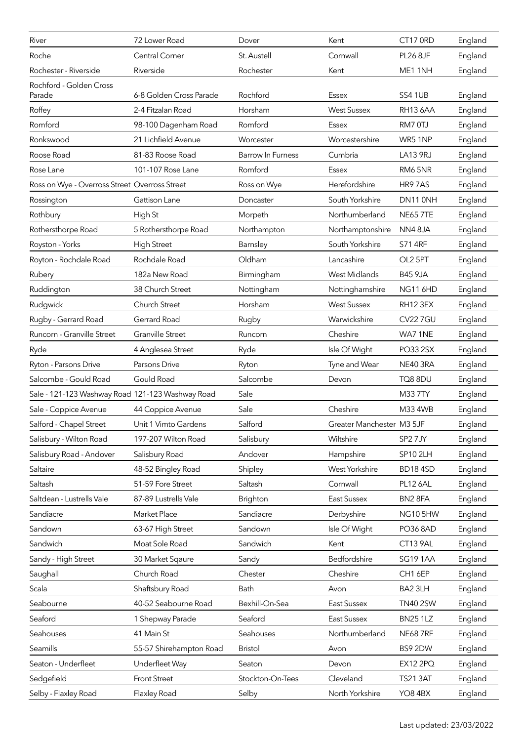| River                                            | 72 Lower Road           | Dover                    | Kent                      | CT17 0RD        | England |
|--------------------------------------------------|-------------------------|--------------------------|---------------------------|-----------------|---------|
| Roche                                            | Central Corner          | St. Austell              | Cornwall                  | <b>PL26 8JF</b> | England |
| Rochester - Riverside                            | Riverside               | Rochester                | Kent                      | ME1 1NH         | England |
| Rochford - Golden Cross                          |                         |                          |                           |                 |         |
| Parade                                           | 6-8 Golden Cross Parade | Rochford                 | Essex                     | SS4 1UB         | England |
| Roffey                                           | 2-4 Fitzalan Road       | Horsham                  | <b>West Sussex</b>        | <b>RH13 6AA</b> | England |
| Romford                                          | 98-100 Dagenham Road    | Romford                  | <b>Essex</b>              | RM7 0TJ         | England |
| Ronkswood                                        | 21 Lichfield Avenue     | Worcester                | Worcestershire            | WR51NP          | England |
| Roose Road                                       | 81-83 Roose Road        | <b>Barrow In Furness</b> | Cumbria                   | <b>LA13 9RJ</b> | England |
| Rose Lane                                        | 101-107 Rose Lane       | Romford                  | <b>Essex</b>              | RM65NR          | England |
| Ross on Wye - Overross Street Overross Street    |                         | Ross on Wye              | Herefordshire             | HR97AS          | England |
| Rossington                                       | Gattison Lane           | Doncaster                | South Yorkshire           | DN11 0NH        | England |
| Rothbury                                         | High St                 | Morpeth                  | Northumberland            | <b>NE65 7TE</b> | England |
| Rothersthorpe Road                               | 5 Rothersthorpe Road    | Northampton              | Northamptonshire          | NN48JA          | England |
| Royston - Yorks                                  | <b>High Street</b>      | Barnsley                 | South Yorkshire           | <b>S71 4RF</b>  | England |
| Royton - Rochdale Road                           | Rochdale Road           | Oldham                   | Lancashire                | OL2 5PT         | England |
| Rubery                                           | 182a New Road           | Birmingham               | West Midlands             | <b>B45 9JA</b>  | England |
| Ruddington                                       | 38 Church Street        | Nottingham               | Nottinghamshire           | <b>NG11 6HD</b> | England |
| Rudgwick                                         | Church Street           | Horsham                  | <b>West Sussex</b>        | RH12 3EX        | England |
| Rugby - Gerrard Road                             | Gerrard Road            | Rugby                    | Warwickshire              | <b>CV227GU</b>  | England |
| Runcorn - Granville Street                       | <b>Granville Street</b> | Runcorn                  | Cheshire                  | WA71NE          | England |
| Ryde                                             | 4 Anglesea Street       | Ryde                     | Isle Of Wight             | PO33 2SX        | England |
| Ryton - Parsons Drive                            | Parsons Drive           | Ryton                    | Tyne and Wear             | NE40 3RA        | England |
| Salcombe - Gould Road                            | Gould Road              | Salcombe                 | Devon                     | TQ8 8DU         | England |
| Sale - 121-123 Washway Road 121-123 Washway Road |                         | Sale                     |                           | M33 7TY         | England |
| Sale - Coppice Avenue                            | 44 Coppice Avenue       | Sale                     | Cheshire                  | M33 4WB         | England |
| Salford - Chapel Street                          | Unit 1 Vimto Gardens    | Salford                  | Greater Manchester M3 5JF |                 | England |
| Salisbury - Wilton Road                          | 197-207 Wilton Road     | Salisbury                | Wiltshire                 | SP2 7JY         | England |
| Salisbury Road - Andover                         | Salisbury Road          | Andover                  | Hampshire                 | <b>SP10 2LH</b> | England |
| Saltaire                                         | 48-52 Bingley Road      | Shipley                  | West Yorkshire            | BD184SD         | England |
| Saltash                                          | 51-59 Fore Street       | Saltash                  | Cornwall                  | <b>PL12 6AL</b> | England |
| Saltdean - Lustrells Vale                        | 87-89 Lustrells Vale    | Brighton                 | East Sussex               | BN28FA          | England |
| Sandiacre                                        | Market Place            | Sandiacre                | Derbyshire                | <b>NG10 5HW</b> | England |
| Sandown                                          | 63-67 High Street       | Sandown                  | Isle Of Wight             | PO36 8AD        | England |
| Sandwich                                         | Moat Sole Road          | Sandwich                 | Kent                      | CT13 9AL        | England |
| Sandy - High Street                              | 30 Market Sqaure        | Sandy                    | Bedfordshire              | <b>SG191AA</b>  | England |
| Saughall                                         | Church Road             | Chester                  | Cheshire                  | CH1 6EP         | England |
| Scala                                            | Shaftsbury Road         | Bath                     | Avon                      | BA2 3LH         | England |
| Seabourne                                        | 40-52 Seabourne Road    | Bexhill-On-Sea           | East Sussex               | <b>TN40 2SW</b> | England |
| Seaford                                          | 1 Shepway Parade        | Seaford                  | East Sussex               | <b>BN251LZ</b>  | England |
| Seahouses                                        | 41 Main St              | Seahouses                | Northumberland            | <b>NE687RF</b>  | England |
| Seamills                                         | 55-57 Shirehampton Road | <b>Bristol</b>           | Avon                      | BS9 2DW         | England |
| Seaton - Underfleet                              | Underfleet Way          | Seaton                   | Devon                     | <b>EX12 2PQ</b> | England |
| Sedgefield                                       | <b>Front Street</b>     | Stockton-On-Tees         | Cleveland                 | <b>TS21 3AT</b> | England |
| Selby - Flaxley Road                             | Flaxley Road            | Selby                    | North Yorkshire           | YO8 4BX         | England |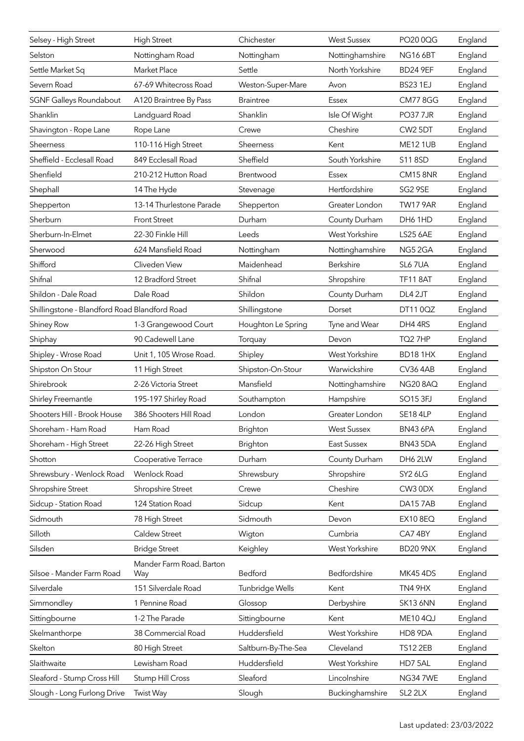| Selsey - High Street                          | <b>High Street</b>              | Chichester          | <b>West Sussex</b> | PO20 0QG            | England |
|-----------------------------------------------|---------------------------------|---------------------|--------------------|---------------------|---------|
| Selston                                       | Nottingham Road                 | Nottingham          | Nottinghamshire    | <b>NG16 6BT</b>     | England |
| Settle Market Sq                              | Market Place                    | Settle              | North Yorkshire    | <b>BD24 9EF</b>     | England |
| Severn Road                                   | 67-69 Whitecross Road           | Weston-Super-Mare   | Avon               | <b>BS231EJ</b>      | England |
| <b>SGNF Galleys Roundabout</b>                | A120 Braintree By Pass          | <b>Braintree</b>    | Essex              | <b>CM77 8GG</b>     | England |
| Shanklin                                      | Landguard Road                  | Shanklin            | Isle Of Wight      | <b>PO37 7JR</b>     | England |
| Shavington - Rope Lane                        | Rope Lane                       | Crewe               | Cheshire           | CW <sub>2</sub> 5DT | England |
| Sheerness                                     | 110-116 High Street             | Sheerness           | Kent               | <b>ME12 1UB</b>     | England |
| Sheffield - Ecclesall Road                    | 849 Ecclesall Road              | Sheffield           | South Yorkshire    | S118SD              | England |
| Shenfield                                     | 210-212 Hutton Road             | Brentwood           | Essex              | <b>CM15 8NR</b>     | England |
| Shephall                                      | 14 The Hyde                     | Stevenage           | Hertfordshire      | SG2 9SE             | England |
| Shepperton                                    | 13-14 Thurlestone Parade        | Shepperton          | Greater London     | <b>TW17 9AR</b>     | England |
| Sherburn                                      | <b>Front Street</b>             | Durham              | County Durham      | DH6 1HD             | England |
| Sherburn-In-Elmet                             | 22-30 Finkle Hill               | Leeds               | West Yorkshire     | <b>LS25 6AE</b>     | England |
| Sherwood                                      | 624 Mansfield Road              | Nottingham          | Nottinghamshire    | NG52GA              | England |
| Shifford                                      | Cliveden View                   | Maidenhead          | Berkshire          | SL6 7UA             | England |
| Shifnal                                       | 12 Bradford Street              | Shifnal             | Shropshire         | <b>TF11 8AT</b>     | England |
| Shildon - Dale Road                           | Dale Road                       | Shildon             | County Durham      | DL4 2JT             | England |
| Shillingstone - Blandford Road Blandford Road |                                 | Shillingstone       | Dorset             | DT11 0QZ            | England |
| Shiney Row                                    | 1-3 Grangewood Court            | Houghton Le Spring  | Tyne and Wear      | DH4 4RS             | England |
| Shiphay                                       | 90 Cadewell Lane                | Torquay             | Devon              | TQ2 7HP             | England |
| Shipley - Wrose Road                          | Unit 1, 105 Wrose Road.         | Shipley             | West Yorkshire     | <b>BD181HX</b>      | England |
| Shipston On Stour                             | 11 High Street                  | Shipston-On-Stour   | Warwickshire       | <b>CV36 4AB</b>     | England |
| Shirebrook                                    | 2-26 Victoria Street            | Mansfield           | Nottinghamshire    | <b>NG20 8AQ</b>     | England |
| Shirley Freemantle                            | 195-197 Shirley Road            | Southampton         | Hampshire          | <b>SO15 3FJ</b>     | England |
| Shooters Hill - Brook House                   | 386 Shooters Hill Road          | London              | Greater London     | <b>SE18 4LP</b>     | England |
| Shoreham - Ham Road                           | Ham Road                        | Brighton            | <b>West Sussex</b> | BN43 6PA            | England |
| Shoreham - High Street                        | 22-26 High Street               | Brighton            | <b>East Sussex</b> | BN43 5DA            | England |
| Shotton                                       | Cooperative Terrace             | Durham              | County Durham      | DH6 2LW             | England |
| Shrewsbury - Wenlock Road                     | Wenlock Road                    | Shrewsbury          | Shropshire         | SY2 6LG             | England |
| Shropshire Street                             | Shropshire Street               | Crewe               | Cheshire           | CW3 0DX             | England |
| Sidcup - Station Road                         | 124 Station Road                | Sidcup              | Kent               | DA157AB             | England |
| Sidmouth                                      | 78 High Street                  | Sidmouth            | Devon              | <b>EX10 8EQ</b>     | England |
| Silloth                                       | Caldew Street                   | Wigton              | Cumbria            | CA74BY              | England |
| Silsden                                       | <b>Bridge Street</b>            | Keighley            | West Yorkshire     | BD20 9NX            | England |
| Silsoe - Mander Farm Road                     | Mander Farm Road. Barton<br>Way | Bedford             | Bedfordshire       | <b>MK45 4DS</b>     | England |
| Silverdale                                    | 151 Silverdale Road             | Tunbridge Wells     | Kent               | TN4 9HX             | England |
| Simmondley                                    | 1 Pennine Road                  | Glossop             | Derbyshire         | SK13 6NN            | England |
| Sittingbourne                                 | 1-2 The Parade                  | Sittingbourne       | Kent               | ME10 4QJ            | England |
| Skelmanthorpe                                 | 38 Commercial Road              | Huddersfield        | West Yorkshire     | HD8 9DA             | England |
| Skelton                                       | 80 High Street                  | Saltburn-By-The-Sea | Cleveland          | <b>TS12 2EB</b>     | England |
| Slaithwaite                                   | Lewisham Road                   | Huddersfield        | West Yorkshire     | HD7 5AL             | England |
| Sleaford - Stump Cross Hill                   | Stump Hill Cross                | Sleaford            | Lincolnshire       | <b>NG347WE</b>      | England |
| Slough - Long Furlong Drive                   | Twist Way                       | Slough              | Buckinghamshire    | SL <sub>2</sub> 2LX | England |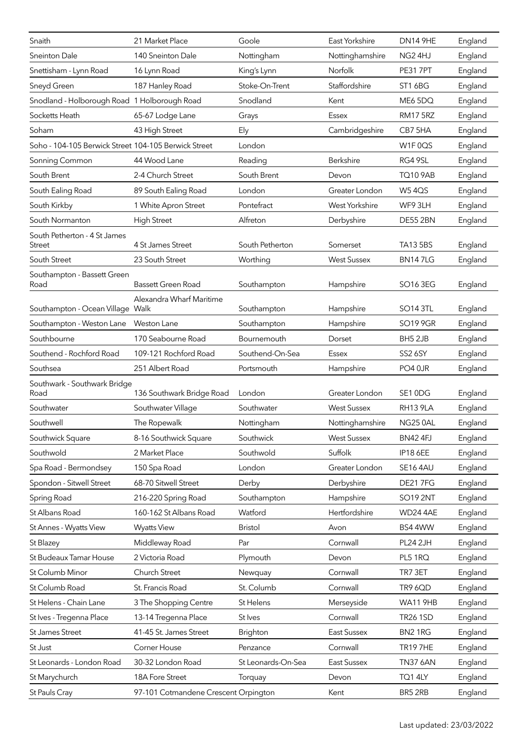| Snaith                                               | 21 Market Place                      | Goole              | East Yorkshire     | DN14 9HE        | England |
|------------------------------------------------------|--------------------------------------|--------------------|--------------------|-----------------|---------|
| <b>Sneinton Dale</b>                                 | 140 Sneinton Dale                    | Nottingham         | Nottinghamshire    | NG24HJ          | England |
| Snettisham - Lynn Road                               | 16 Lynn Road                         | King's Lynn        | Norfolk            | <b>PE317PT</b>  | England |
| Sneyd Green                                          | 187 Hanley Road                      | Stoke-On-Trent     | Staffordshire      | ST1 6BG         | England |
| Snodland - Holborough Road 1 Holborough Road         |                                      | Snodland           | Kent               | ME6 5DQ         | England |
| Socketts Heath                                       | 65-67 Lodge Lane                     | Grays              | <b>Essex</b>       | <b>RM17 5RZ</b> | England |
| Soham                                                | 43 High Street                       | Ely                | Cambridgeshire     | CB7 5HA         | England |
| Soho - 104-105 Berwick Street 104-105 Berwick Street |                                      | London             |                    | W1F0QS          | England |
| Sonning Common                                       | 44 Wood Lane                         | Reading            | Berkshire          | RG4 9SL         | England |
| South Brent                                          | 2-4 Church Street                    | South Brent        | Devon              | <b>TQ10 9AB</b> | England |
| South Ealing Road                                    | 89 South Ealing Road                 | London             | Greater London     | <b>W54QS</b>    | England |
| South Kirkby                                         | 1 White Apron Street                 | Pontefract         | West Yorkshire     | WF93LH          | England |
| South Normanton                                      | <b>High Street</b>                   | Alfreton           | Derbyshire         | <b>DE55 2BN</b> | England |
| South Petherton - 4 St James<br><b>Street</b>        | 4 St James Street                    | South Petherton    | Somerset           | <b>TA13 5BS</b> | England |
| South Street                                         | 23 South Street                      | Worthing           | <b>West Sussex</b> | <b>BN147LG</b>  | England |
| Southampton - Bassett Green                          |                                      |                    |                    |                 |         |
| Road                                                 | <b>Bassett Green Road</b>            | Southampton        | Hampshire          | SO16 3EG        | England |
| Southampton - Ocean Village Walk                     | Alexandra Wharf Maritime             | Southampton        | Hampshire          | <b>SO14 3TL</b> | England |
| Southampton - Weston Lane                            | Weston Lane                          | Southampton        | Hampshire          | <b>SO19 9GR</b> | England |
| Southbourne                                          | 170 Seabourne Road                   | Bournemouth        | Dorset             | BH5 2JB         | England |
| Southend - Rochford Road                             | 109-121 Rochford Road                | Southend-On-Sea    | Essex              | SS2 6SY         | England |
| Southsea                                             | 251 Albert Road                      | Portsmouth         | Hampshire          | PO4 0JR         | England |
| Southwark - Southwark Bridge<br>Road                 | 136 Southwark Bridge Road            | London             | Greater London     | SE1 0DG         | England |
| Southwater                                           | Southwater Village                   | Southwater         | <b>West Sussex</b> | RH13 9LA        | England |
| Southwell                                            | The Ropewalk                         | Nottingham         | Nottinghamshire    | <b>NG25 0AL</b> | England |
| Southwick Square                                     | 8-16 Southwick Square                | Southwick          | <b>West Sussex</b> | <b>BN42 4FJ</b> | England |
| Southwold                                            | 2 Market Place                       | Southwold          | Suffolk            | <b>IP18 6EE</b> | England |
| Spa Road - Bermondsey                                | 150 Spa Road                         | London             | Greater London     | SE164AU         | England |
| Spondon - Sitwell Street                             | 68-70 Sitwell Street                 | Derby              | Derbyshire         | <b>DE217FG</b>  | England |
| Spring Road                                          | 216-220 Spring Road                  | Southampton        | Hampshire          | <b>SO19 2NT</b> | England |
| St Albans Road                                       | 160-162 St Albans Road               | Watford            | Hertfordshire      | WD24 4AE        | England |
| St Annes - Wyatts View                               | <b>Wyatts View</b>                   | <b>Bristol</b>     | Avon               | BS4 4WW         | England |
| St Blazey                                            | Middleway Road                       | Par                | Cornwall           | <b>PL24 2JH</b> | England |
| St Budeaux Tamar House                               | 2 Victoria Road                      | Plymouth           | Devon              | PL5 1RQ         | England |
| St Columb Minor                                      | Church Street                        | Newquay            | Cornwall           | TR7 3ET         | England |
| St Columb Road                                       | St. Francis Road                     | St. Columb         | Cornwall           | <b>TR9 6QD</b>  | England |
| St Helens - Chain Lane                               | 3 The Shopping Centre                | St Helens          | Merseyside         | <b>WA11 9HB</b> | England |
| St Ives - Tregenna Place                             | 13-14 Tregenna Place                 | St Ives            | Cornwall           | <b>TR26 1SD</b> | England |
| St James Street                                      | 41-45 St. James Street               | Brighton           | <b>East Sussex</b> | BN21RG          | England |
| St Just                                              | Corner House                         | Penzance           | Cornwall           | <b>TR197HE</b>  | England |
| St Leonards - London Road                            | 30-32 London Road                    | St Leonards-On-Sea | East Sussex        | <b>TN37 6AN</b> | England |
| St Marychurch                                        | 18A Fore Street                      | Torquay            | Devon              | <b>TQ1 4LY</b>  | England |
| St Pauls Cray                                        | 97-101 Cotmandene Crescent Orpington |                    | Kent               | BR5 2RB         | England |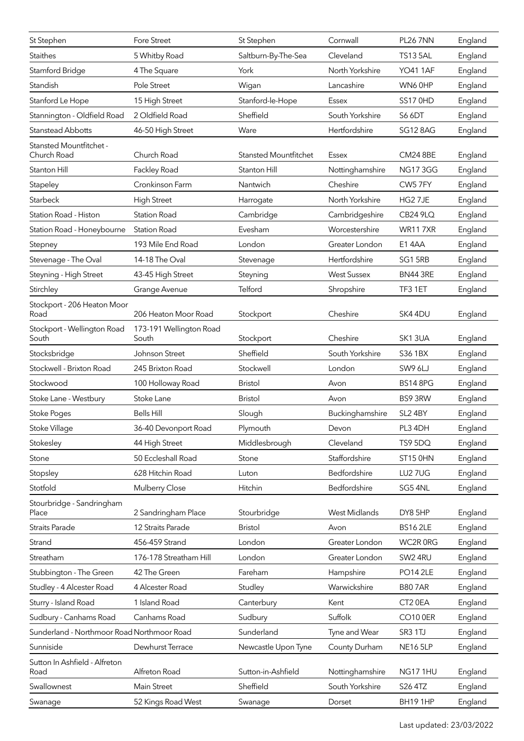| St Stephen                                    | Fore Street                      | St Stephen                   | Cornwall           | <b>PL26 7NN</b> | England |
|-----------------------------------------------|----------------------------------|------------------------------|--------------------|-----------------|---------|
| <b>Staithes</b>                               | 5 Whitby Road                    | Saltburn-By-The-Sea          | Cleveland          | <b>TS13 5AL</b> | England |
| Stamford Bridge                               | 4 The Square                     | York                         | North Yorkshire    | <b>YO41 1AF</b> | England |
| Standish                                      | Pole Street                      | Wigan                        | Lancashire         | WN6 OHP         | England |
| Stanford Le Hope                              | 15 High Street                   | Stanford-le-Hope             | <b>Essex</b>       | <b>SS17 0HD</b> | England |
| Stannington - Oldfield Road                   | 2 Oldfield Road                  | Sheffield                    | South Yorkshire    | S6 6DT          | England |
| <b>Stanstead Abbotts</b>                      | 46-50 High Street                | Ware                         | Hertfordshire      | <b>SG12 8AG</b> | England |
| <b>Stansted Mountfitchet -</b><br>Church Road | Church Road                      | <b>Stansted Mountfitchet</b> | Essex              | <b>CM24 8BE</b> | England |
| Stanton Hill                                  | Fackley Road                     | Stanton Hill                 | Nottinghamshire    | <b>NG173GG</b>  | England |
| Stapeley                                      | Cronkinson Farm                  | Nantwich                     | Cheshire           | CW57FY          | England |
| Starbeck                                      | <b>High Street</b>               | Harrogate                    | North Yorkshire    | HG2 7JE         | England |
| Station Road - Histon                         | <b>Station Road</b>              | Cambridge                    | Cambridgeshire     | <b>CB24 9LQ</b> | England |
| Station Road - Honeybourne                    | <b>Station Road</b>              | Evesham                      | Worcestershire     | <b>WR117XR</b>  | England |
| Stepney                                       | 193 Mile End Road                | London                       | Greater London     | <b>E14AA</b>    | England |
| Stevenage - The Oval                          | 14-18 The Oval                   | Stevenage                    | Hertfordshire      | SG1 5RB         | England |
| Steyning - High Street                        | 43-45 High Street                | Steyning                     | <b>West Sussex</b> | <b>BN44 3RE</b> | England |
| Stirchley                                     | Grange Avenue                    | Telford                      | Shropshire         | TF3 1ET         | England |
| Stockport - 206 Heaton Moor<br>Road           | 206 Heaton Moor Road             | Stockport                    | Cheshire           | SK4 4DU         | England |
| Stockport - Wellington Road<br>South          | 173-191 Wellington Road<br>South | Stockport                    | Cheshire           | SK13UA          | England |
| Stocksbridge                                  | Johnson Street                   | Sheffield                    | South Yorkshire    | S36 1BX         | England |
| Stockwell - Brixton Road                      | 245 Brixton Road                 | Stockwell                    | London             | SW9 6LJ         | England |
| Stockwood                                     | 100 Holloway Road                | <b>Bristol</b>               | Avon               | <b>BS148PG</b>  | England |
| Stoke Lane - Westbury                         | Stoke Lane                       | <b>Bristol</b>               | Avon               | BS9 3RW         | England |
| <b>Stoke Poges</b>                            | <b>Bells Hill</b>                | Slough                       | Buckinghamshire    | SL2 4BY         | England |
| Stoke Village                                 | 36-40 Devonport Road             | Plymouth                     | Devon              | PL3 4DH         | England |
| Stokesley                                     | 44 High Street                   | Middlesbrough                | Cleveland          | TS9 5DQ         | England |
| Stone                                         | 50 Eccleshall Road               | Stone                        | Staffordshire      | ST15 0HN        | England |
| Stopsley                                      | 628 Hitchin Road                 | Luton                        | Bedfordshire       | <b>LU27UG</b>   | England |
| Stotfold                                      | Mulberry Close                   | Hitchin                      | Bedfordshire       | SG5 4NL         | England |
| Stourbridge - Sandringham<br>Place            | 2 Sandringham Place              | Stourbridge                  | West Midlands      | DY8 5HP         | England |
| <b>Straits Parade</b>                         | 12 Straits Parade                | <b>Bristol</b>               | Avon               | <b>BS16 2LE</b> | England |
| Strand                                        | 456-459 Strand                   | London                       | Greater London     | WC2R 0RG        | England |
| Streatham                                     | 176-178 Streatham Hill           | London                       | Greater London     | SW2 4RU         | England |
| Stubbington - The Green                       | 42 The Green                     | Fareham                      | Hampshire          | <b>PO14 2LE</b> | England |
| Studley - 4 Alcester Road                     | 4 Alcester Road                  | Studley                      | Warwickshire       | <b>B807AR</b>   | England |
| Sturry - Island Road                          | 1 Island Road                    | Canterbury                   | Kent               | CT2 0EA         | England |
| Sudbury - Canhams Road                        | Canhams Road                     | Sudbury                      | Suffolk            | <b>CO10 0ER</b> | England |
| Sunderland - Northmoor Road Northmoor Road    |                                  | Sunderland                   | Tyne and Wear      | SR3 1TJ         | England |
| Sunniside                                     | Dewhurst Terrace                 | Newcastle Upon Tyne          | County Durham      | <b>NE16 5LP</b> | England |
| Sutton In Ashfield - Alfreton<br>Road         | Alfreton Road                    | Sutton-in-Ashfield           | Nottinghamshire    | NG171HU         | England |
| Swallownest                                   | Main Street                      | Sheffield                    | South Yorkshire    | S26 4TZ         | England |
| Swanage                                       | 52 Kings Road West               | Swanage                      | Dorset             | BH191HP         | England |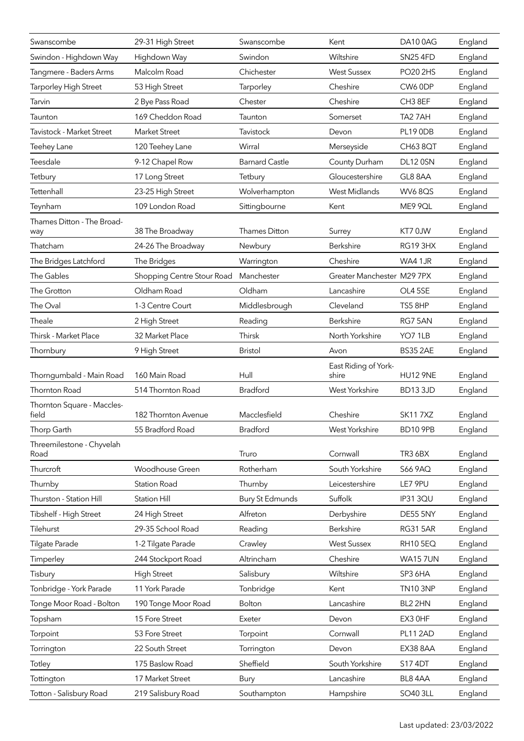| Swanscombe                        | 29-31 High Street          | Swanscombe             | Kent                          | DA100AG         | England |
|-----------------------------------|----------------------------|------------------------|-------------------------------|-----------------|---------|
| Swindon - Highdown Way            | Highdown Way               | Swindon                | Wiltshire                     | <b>SN25 4FD</b> | England |
| Tangmere - Baders Arms            | Malcolm Road               | Chichester             | <b>West Sussex</b>            | <b>PO20 2HS</b> | England |
| Tarporley High Street             | 53 High Street             | Tarporley              | Cheshire                      | CW6 0DP         | England |
| Tarvin                            | 2 Bye Pass Road            | Chester                | Cheshire                      | CH3 8EF         | England |
| Taunton                           | 169 Cheddon Road           | Taunton                | Somerset                      | TA2 7AH         | England |
| Tavistock - Market Street         | <b>Market Street</b>       | Tavistock              | Devon                         | <b>PL19 0DB</b> | England |
| Teehey Lane                       | 120 Teehey Lane            | Wirral                 | Merseyside                    | <b>CH63 8QT</b> | England |
| Teesdale                          | 9-12 Chapel Row            | <b>Barnard Castle</b>  | County Durham                 | DL12 0SN        | England |
| Tetbury                           | 17 Long Street             | Tetbury                | Gloucestershire               | GL8 8AA         | England |
| Tettenhall                        | 23-25 High Street          | Wolverhampton          | West Midlands                 | <b>WV6 8QS</b>  | England |
| Teynham                           | 109 London Road            | Sittingbourne          | Kent                          | ME9 9QL         | England |
| Thames Ditton - The Broad-<br>way | 38 The Broadway            | Thames Ditton          | Surrey                        | KT70JW          | England |
| Thatcham                          | 24-26 The Broadway         | Newbury                | Berkshire                     | RG193HX         | England |
| The Bridges Latchford             | The Bridges                | Warrington             | Cheshire                      | WA4 1JR         | England |
| The Gables                        | Shopping Centre Stour Road | Manchester             | Greater Manchester M29 7PX    |                 | England |
| The Grotton                       | Oldham Road                | Oldham                 | Lancashire                    | OL4 5SE         | England |
| The Oval                          | 1-3 Centre Court           | Middlesbrough          | Cleveland                     | TS5 8HP         | England |
| Theale                            | 2 High Street              | Reading                | Berkshire                     | RG75AN          | England |
| Thirsk - Market Place             | 32 Market Place            | Thirsk                 | North Yorkshire               | YO7 1LB         | England |
| Thornbury                         | 9 High Street              | <b>Bristol</b>         | Avon                          | BS35 2AE        | England |
| Thorngumbald - Main Road          | 160 Main Road              | Hull                   | East Riding of York-<br>shire | <b>HU12 9NE</b> | England |
| Thornton Road                     | 514 Thornton Road          | <b>Bradford</b>        | West Yorkshire                | BD133JD         | England |
| Thornton Square - Maccles-        |                            |                        |                               |                 |         |
| field                             | 182 Thornton Avenue        | Macclesfield           | Cheshire                      | <b>SK117XZ</b>  | England |
| Thorp Garth                       | 55 Bradford Road           | <b>Bradford</b>        | West Yorkshire                | <b>BD10 9PB</b> | England |
| Threemilestone - Chyvelah<br>Road |                            | Truro                  | Cornwall                      | TR3 6BX         | England |
| Thurcroft                         | Woodhouse Green            | Rotherham              | South Yorkshire               | <b>S66 9AQ</b>  | England |
| Thurnby                           | <b>Station Road</b>        | Thurnby                | Leicestershire                | LE7 9PU         | England |
| Thurston - Station Hill           | <b>Station Hill</b>        | <b>Bury St Edmunds</b> | Suffolk                       | <b>IP31 3QU</b> | England |
| Tibshelf - High Street            | 24 High Street             | Alfreton               | Derbyshire                    | DE55 5NY        | England |
| Tilehurst                         | 29-35 School Road          | Reading                | Berkshire                     | <b>RG31 5AR</b> | England |
| Tilgate Parade                    | 1-2 Tilgate Parade         | Crawley                | <b>West Sussex</b>            | <b>RH105EQ</b>  | England |
| Timperley                         | 244 Stockport Road         | Altrincham             | Cheshire                      | <b>WA157UN</b>  | England |
| Tisbury                           | <b>High Street</b>         | Salisbury              | Wiltshire                     | SP3 6HA         | England |
| Tonbridge - York Parade           | 11 York Parade             | Tonbridge              | Kent                          | <b>TN10 3NP</b> | England |
| Tonge Moor Road - Bolton          | 190 Tonge Moor Road        | <b>Bolton</b>          | Lancashire                    | BL2 2HN         | England |
| Topsham                           | 15 Fore Street             | Exeter                 | Devon                         | EX3 OHF         | England |
| Torpoint                          | 53 Fore Street             | Torpoint               | Cornwall                      | <b>PL11 2AD</b> | England |
| Torrington                        | 22 South Street            | Torrington             | Devon                         | EX38 8AA        | England |
| Totley                            | 175 Baslow Road            | Sheffield              | South Yorkshire               | S17 4DT         | England |
| Tottington                        | 17 Market Street           | Bury                   | Lancashire                    | BL8 4AA         | England |
| Totton - Salisbury Road           | 219 Salisbury Road         | Southampton            | Hampshire                     | SO40 3LL        | England |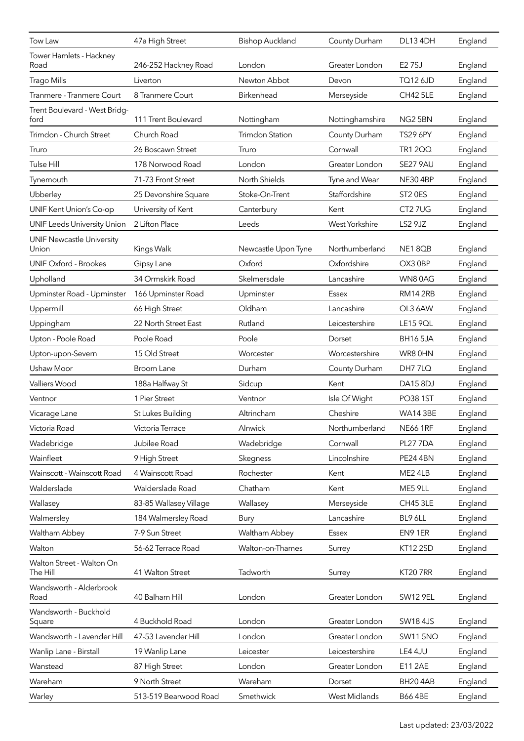| Tow Law                                   | 47a High Street        | <b>Bishop Auckland</b> | County Durham   | DL13 4DH            | England |
|-------------------------------------------|------------------------|------------------------|-----------------|---------------------|---------|
| Tower Hamlets - Hackney<br>Road           | 246-252 Hackney Road   | London                 | Greater London  | <b>E27SJ</b>        | England |
| <b>Trago Mills</b>                        | Liverton               | Newton Abbot           | Devon           | <b>TQ12 6JD</b>     | England |
| Tranmere - Tranmere Court                 | 8 Tranmere Court       | Birkenhead             | Merseyside      | <b>CH42 5LE</b>     | England |
| Trent Boulevard - West Bridg-<br>ford     | 111 Trent Boulevard    | Nottingham             | Nottinghamshire | NG2 5BN             | England |
| Trimdon - Church Street                   | Church Road            | <b>Trimdon Station</b> | County Durham   | <b>TS29 6PY</b>     | England |
| Truro                                     | 26 Boscawn Street      | Truro                  | Cornwall        | <b>TR1 2QQ</b>      | England |
| Tulse Hill                                | 178 Norwood Road       | London                 | Greater London  | SE27 9AU            | England |
| Tynemouth                                 | 71-73 Front Street     | North Shields          | Tyne and Wear   | <b>NE30 4BP</b>     | England |
| Ubberley                                  | 25 Devonshire Square   | Stoke-On-Trent         | Staffordshire   | ST <sub>2</sub> OES | England |
| <b>UNIF Kent Union's Co-op</b>            | University of Kent     | Canterbury             | Kent            | CT <sub>2</sub> 7UG | England |
| <b>UNIF Leeds University Union</b>        | 2 Lifton Place         | Leeds                  | West Yorkshire  | LS2 9JZ             | England |
| <b>UNIF Newcastle University</b><br>Union | Kings Walk             | Newcastle Upon Tyne    | Northumberland  | <b>NE1 8QB</b>      | England |
| <b>UNIF Oxford - Brookes</b>              | Gipsy Lane             | Oxford                 | Oxfordshire     | OX3 0BP             | England |
| Upholland                                 | 34 Ormskirk Road       | Skelmersdale           | Lancashire      | WN80AG              | England |
| Upminster Road - Upminster                | 166 Upminster Road     | Upminster              | Essex           | <b>RM14 2RB</b>     | England |
| Uppermill                                 | 66 High Street         | Oldham                 | Lancashire      | OL3 6AW             | England |
| Uppingham                                 | 22 North Street East   | Rutland                | Leicestershire  | LE15 9QL            | England |
| Upton - Poole Road                        | Poole Road             | Poole                  | Dorset          | <b>BH165JA</b>      | England |
| Upton-upon-Severn                         | 15 Old Street          | Worcester              | Worcestershire  | WR8 0HN             | England |
| Ushaw Moor                                | <b>Broom Lane</b>      | Durham                 | County Durham   | DH7 7LQ             | England |
| Valliers Wood                             | 188a Halfway St        | Sidcup                 | Kent            | <b>DA15 8DJ</b>     | England |
| Ventnor                                   | 1 Pier Street          | Ventnor                | Isle Of Wight   | <b>PO38 1ST</b>     | England |
| Vicarage Lane                             | St Lukes Building      | Altrincham             | Cheshire        | <b>WA14 3BE</b>     | England |
| Victoria Road                             | Victoria Terrace       | Alnwick                | Northumberland  | <b>NE66 1RF</b>     | England |
| Wadebridge                                | Jubilee Road           | Wadebridge             | Cornwall        | PL277DA             | England |
| Wainfleet                                 | 9 High Street          | Skegness               | Lincolnshire    | <b>PE24 4BN</b>     | England |
| Wainscott - Wainscott Road                | 4 Wainscott Road       | Rochester              | Kent            | ME2 4LB             | England |
| Walderslade                               | Walderslade Road       | Chatham                | Kent            | ME5 9LL             | England |
| Wallasey                                  | 83-85 Wallasey Village | Wallasey               | Merseyside      | <b>CH45 3LE</b>     | England |
| Walmersley                                | 184 Walmersley Road    | Bury                   | Lancashire      | BL9 6LL             | England |
| Waltham Abbey                             | 7-9 Sun Street         | Waltham Abbey          | Essex           | EN91ER              | England |
| Walton                                    | 56-62 Terrace Road     | Walton-on-Thames       | Surrey          | <b>KT12 2SD</b>     | England |
| Walton Street - Walton On<br>The Hill     | 41 Walton Street       | Tadworth               | Surrey          | <b>KT20 7RR</b>     | England |
| Wandsworth - Alderbrook<br>Road           | 40 Balham Hill         | London                 | Greater London  | <b>SW12 9EL</b>     | England |
| Wandsworth - Buckhold<br>Square           | 4 Buckhold Road        | London                 | Greater London  | <b>SW18 4JS</b>     | England |
| Wandsworth - Lavender Hill                | 47-53 Lavender Hill    | London                 | Greater London  | <b>SW11 5NQ</b>     | England |
| Wanlip Lane - Birstall                    | 19 Wanlip Lane         | Leicester              | Leicestershire  | LE4 4JU             | England |
| Wanstead                                  | 87 High Street         | London                 | Greater London  | <b>E11 2AE</b>      | England |
| Wareham                                   | 9 North Street         | Wareham                | Dorset          | BH204AB             | England |
| Warley                                    | 513-519 Bearwood Road  | Smethwick              | West Midlands   | <b>B66 4BE</b>      | England |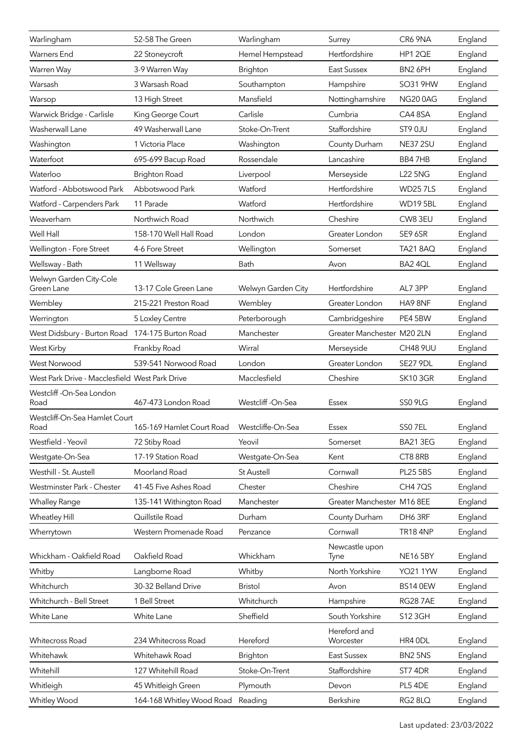| Warlingham                                     | 52-58 The Green           | Warlingham         | Surrey                     | CR6 9NA         | England |
|------------------------------------------------|---------------------------|--------------------|----------------------------|-----------------|---------|
| <b>Warners</b> End                             | 22 Stoneycroft            | Hemel Hempstead    | Hertfordshire              | HP1 2QE         | England |
| Warren Way                                     | 3-9 Warren Way            | Brighton           | <b>East Sussex</b>         | BN2 6PH         | England |
| Warsash                                        | 3 Warsash Road            | Southampton        | Hampshire                  | <b>SO31 9HW</b> | England |
| Warsop                                         | 13 High Street            | Mansfield          | Nottinghamshire            | <b>NG200AG</b>  | England |
| Warwick Bridge - Carlisle                      | King George Court         | Carlisle           | Cumbria                    | CA48SA          | England |
| Washerwall Lane                                | 49 Washerwall Lane        | Stoke-On-Trent     | Staffordshire              | ST9 OJU         | England |
| Washington                                     | 1 Victoria Place          | Washington         | County Durham              | <b>NE37 2SU</b> | England |
| Waterfoot                                      | 695-699 Bacup Road        | Rossendale         | Lancashire                 | BB47HB          | England |
| Waterloo                                       | <b>Brighton Road</b>      | Liverpool          | Merseyside                 | <b>L22 5NG</b>  | England |
| Watford - Abbotswood Park                      | Abbotswood Park           | Watford            | Hertfordshire              | <b>WD257LS</b>  | England |
| Watford - Carpenders Park                      | 11 Parade                 | Watford            | Hertfordshire              | <b>WD195BL</b>  | England |
| Weaverham                                      | Northwich Road            | Northwich          | Cheshire                   | CW83EU          | England |
| Well Hall                                      | 158-170 Well Hall Road    | London             | Greater London             | SE9 6SR         | England |
| Wellington - Fore Street                       | 4-6 Fore Street           | Wellington         | Somerset                   | <b>TA21 8AQ</b> | England |
| Wellsway - Bath                                | 11 Wellsway               | Bath               | Avon                       | BA2 4QL         | England |
| Welwyn Garden City-Cole<br>Green Lane          | 13-17 Cole Green Lane     | Welwyn Garden City | Hertfordshire              | AL7 3PP         | England |
| Wembley                                        | 215-221 Preston Road      | Wembley            | Greater London             | HA9 8NF         | England |
| Werrington                                     | 5 Loxley Centre           | Peterborough       | Cambridgeshire             | PE4 5BW         | England |
| West Didsbury - Burton Road                    | 174-175 Burton Road       | Manchester         | Greater Manchester M20 2LN |                 | England |
| West Kirby                                     | Frankby Road              | Wirral             | Merseyside                 | <b>CH48 9UU</b> | England |
| West Norwood                                   | 539-541 Norwood Road      | London             | Greater London             | SE27 9DL        | England |
| West Park Drive - Macclesfield West Park Drive |                           | Macclesfield       | Cheshire                   | <b>SK10 3GR</b> | England |
| Westcliff -On-Sea London                       |                           |                    |                            |                 |         |
| Road                                           | 467-473 London Road       | Westcliff -On-Sea  | Essex                      | <b>SS0 9LG</b>  | England |
|                                                |                           |                    |                            |                 |         |
| Westcliff-On-Sea Hamlet Court<br>Road          | 165-169 Hamlet Court Road | Westcliffe-On-Sea  | <b>Essex</b>               | SS07EL          | England |
| Westfield - Yeovil                             | 72 Stiby Road             | Yeovil             | Somerset                   | <b>BA21 3EG</b> | England |
| Westgate-On-Sea                                | 17-19 Station Road        | Westgate-On-Sea    | Kent                       | CT8 8RB         | England |
| Westhill - St. Austell                         | Moorland Road             | St Austell         | Cornwall                   | <b>PL25 5BS</b> | England |
| Westminster Park - Chester                     | 41-45 Five Ashes Road     | Chester            | Cheshire                   | <b>CH47QS</b>   | England |
| <b>Whalley Range</b>                           | 135-141 Withington Road   | Manchester         | Greater Manchester M16 8EE |                 | England |
| Wheatley Hill                                  | Quillstile Road           | Durham             | County Durham              | DH6 3RF         | England |
| Wherrytown                                     | Western Promenade Road    | Penzance           | Cornwall                   | <b>TR18 4NP</b> | England |
|                                                |                           |                    | Newcastle upon             |                 |         |
| Whickham - Oakfield Road                       | Oakfield Road             | Whickham           | Tyne                       | <b>NE16 5BY</b> | England |
| Whitby                                         | Langborne Road            | Whitby             | North Yorkshire            | <b>YO21 1YW</b> | England |
| Whitchurch                                     | 30-32 Belland Drive       | <b>Bristol</b>     | Avon                       | BS14 0EW        | England |
| Whitchurch - Bell Street                       | 1 Bell Street             | Whitchurch         | Hampshire                  | <b>RG287AE</b>  | England |
| White Lane                                     | White Lane                | Sheffield          | South Yorkshire            | S12 3GH         | England |
| <b>Whitecross Road</b>                         | 234 Whitecross Road       | Hereford           | Hereford and<br>Worcester  | HR4 ODL         | England |
| Whitehawk                                      | Whitehawk Road            | Brighton           | <b>East Sussex</b>         | BN25NS          | England |
| Whitehill                                      | 127 Whitehill Road        | Stoke-On-Trent     | Staffordshire              | ST7 4DR         | England |
| Whitleigh                                      | 45 Whitleigh Green        | Plymouth           | Devon                      | PL5 4DE         | England |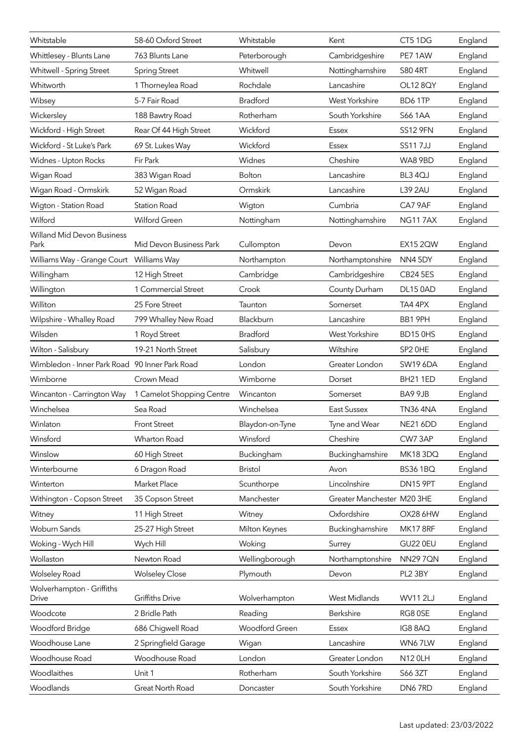| Whitstable                                     | 58-60 Oxford Street       | Whitstable      | Kent                       | CT5 1DG         | England |
|------------------------------------------------|---------------------------|-----------------|----------------------------|-----------------|---------|
| Whittlesey - Blunts Lane                       | 763 Blunts Lane           | Peterborough    | Cambridgeshire             | PE7 1AW         | England |
| Whitwell - Spring Street                       | <b>Spring Street</b>      | Whitwell        | Nottinghamshire            | <b>S80 4RT</b>  | England |
| Whitworth                                      | 1 Thorneylea Road         | Rochdale        | Lancashire                 | OL12 8QY        | England |
| Wibsey                                         | 5-7 Fair Road             | <b>Bradford</b> | West Yorkshire             | BD61TP          | England |
| Wickersley                                     | 188 Bawtry Road           | Rotherham       | South Yorkshire            | <b>S66 1AA</b>  | England |
| Wickford - High Street                         | Rear Of 44 High Street    | Wickford        | <b>Essex</b>               | <b>SS12 9FN</b> | England |
| Wickford - St Luke's Park                      | 69 St. Lukes Way          | Wickford        | Essex                      | <b>SS117JJ</b>  | England |
| Widnes - Upton Rocks                           | Fir Park                  | Widnes          | Cheshire                   | WA8 9BD         | England |
| Wigan Road                                     | 383 Wigan Road            | <b>Bolton</b>   | Lancashire                 | BL3 4QJ         | England |
| Wigan Road - Ormskirk                          | 52 Wigan Road             | Ormskirk        | Lancashire                 | <b>L39 2AU</b>  | England |
| Wigton - Station Road                          | <b>Station Road</b>       | Wigton          | Cumbria                    | CA7 9AF         | England |
| Wilford                                        | Wilford Green             | Nottingham      | Nottinghamshire            | <b>NG117AX</b>  | England |
| Willand Mid Devon Business<br>Park             | Mid Devon Business Park   | Cullompton      | Devon                      | <b>EX15 2QW</b> | England |
| Williams Way - Grange Court                    | Williams Way              | Northampton     | Northamptonshire           | NN4 5DY         | England |
| Willingham                                     | 12 High Street            | Cambridge       | Cambridgeshire             | <b>CB24 5ES</b> | England |
| Willington                                     | 1 Commercial Street       | Crook           | County Durham              | <b>DL15 0AD</b> | England |
| Williton                                       | 25 Fore Street            | Taunton         | Somerset                   | TA4 4PX         | England |
| Wilpshire - Whalley Road                       | 799 Whalley New Road      | Blackburn       | Lancashire                 | BB1 9PH         | England |
| Wilsden                                        | 1 Royd Street             | <b>Bradford</b> | West Yorkshire             | BD150HS         | England |
| Wilton - Salisbury                             | 19-21 North Street        | Salisbury       | Wiltshire                  | SP2 OHE         | England |
| Wimbledon - Inner Park Road 90 Inner Park Road |                           | London          | Greater London             | SW19 6DA        | England |
| Wimborne                                       | Crown Mead                | Wimborne        | Dorset                     | BH21 1ED        | England |
| Wincanton - Carrington Way                     | 1 Camelot Shopping Centre | Wincanton       | Somerset                   | BA9 9JB         | England |
| Winchelsea                                     | Sea Road                  | Winchelsea      | East Sussex                | <b>TN36 4NA</b> | England |
| Winlaton                                       | <b>Front Street</b>       | Blaydon-on-Tyne | Tyne and Wear              | NE21 6DD        | England |
| Winsford                                       | Wharton Road              | Winsford        | Cheshire                   | CW7 3AP         | England |
| Winslow                                        | 60 High Street            | Buckingham      | Buckinghamshire            | <b>MK183DQ</b>  | England |
| Winterbourne                                   | 6 Dragon Road             | <b>Bristol</b>  | Avon                       | <b>BS36 1BQ</b> | England |
| Winterton                                      | Market Place              | Scunthorpe      | Lincolnshire               | DN15 9PT        | England |
| Withington - Copson Street                     | 35 Copson Street          | Manchester      | Greater Manchester M20 3HE |                 | England |
| Witney                                         | 11 High Street            | Witney          | Oxfordshire                | OX28 6HW        | England |
| Woburn Sands                                   | 25-27 High Street         | Milton Keynes   | Buckinghamshire            | <b>MK17 8RF</b> | England |
| Woking - Wych Hill                             | Wych Hill                 | Woking          | Surrey                     | <b>GU22 0EU</b> | England |
| Wollaston                                      | Newton Road               | Wellingborough  | Northamptonshire           | <b>NN297ON</b>  | England |
| <b>Wolseley Road</b>                           | <b>Wolseley Close</b>     | Plymouth        | Devon                      | PL2 3BY         | England |
| Wolverhampton - Griffiths<br><b>Drive</b>      | <b>Griffiths Drive</b>    | Wolverhampton   | West Midlands              | <b>WV112LJ</b>  | England |
| Woodcote                                       | 2 Bridle Path             | Reading         | Berkshire                  | RG8 OSE         | England |
| Woodford Bridge                                | 686 Chigwell Road         | Woodford Green  | Essex                      | IG88AQ          | England |
| Woodhouse Lane                                 | 2 Springfield Garage      | Wigan           | Lancashire                 | WN67LW          | England |
| Woodhouse Road                                 | Woodhouse Road            | London          | Greater London             | <b>N12 0LH</b>  | England |
| Woodlaithes                                    | Unit 1                    | Rotherham       | South Yorkshire            | S66 3ZT         | England |
| Woodlands                                      | Great North Road          | Doncaster       | South Yorkshire            | DN67RD          | England |